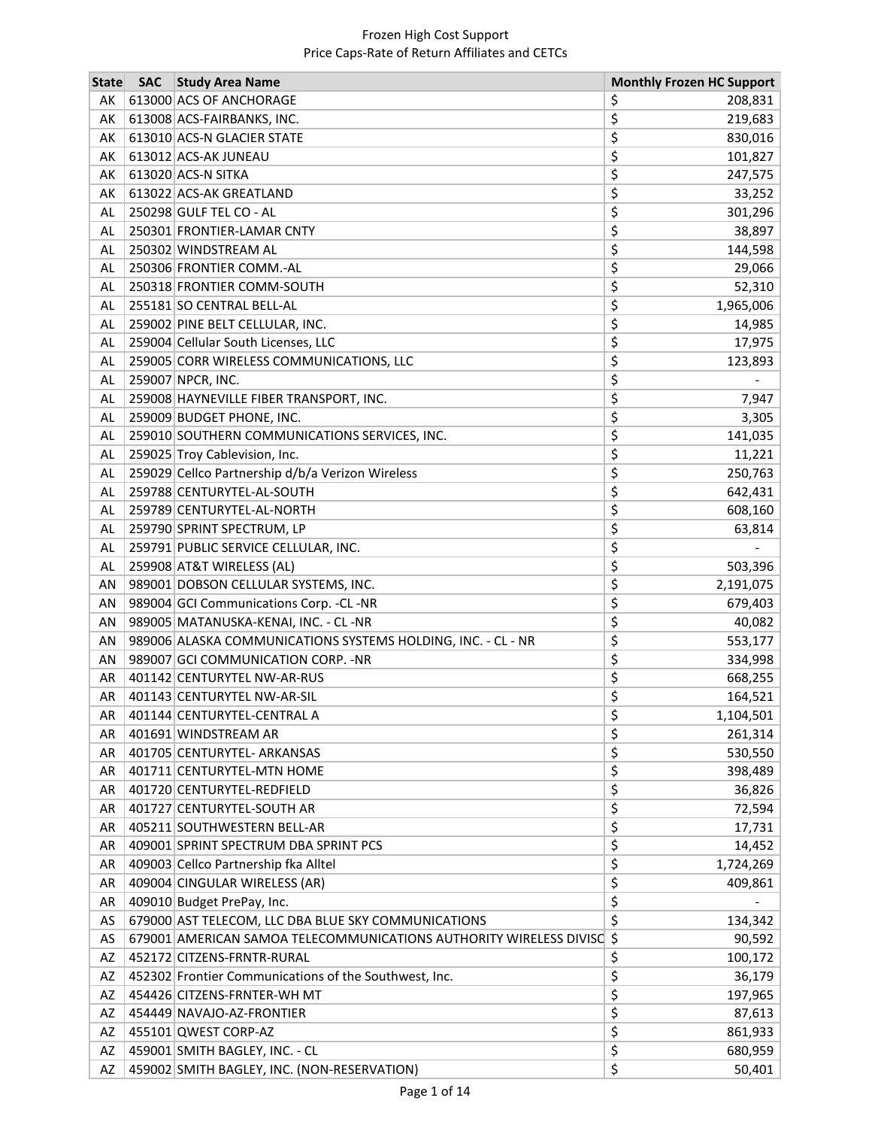| <b>State</b> | <b>SAC</b> | <b>Study Area Name</b>                                                | <b>Monthly Frozen HC Support</b> |
|--------------|------------|-----------------------------------------------------------------------|----------------------------------|
| AK           |            | 613000 ACS OF ANCHORAGE                                               | \$<br>208,831                    |
| AK           |            | 613008 ACS-FAIRBANKS, INC.                                            | \$<br>219,683                    |
| AK           |            | 613010 ACS-N GLACIER STATE                                            | \$<br>830,016                    |
| AK           |            | 613012 ACS-AK JUNEAU                                                  | \$<br>101,827                    |
| АK           |            | 613020 ACS-N SITKA                                                    | \$<br>247,575                    |
| AK           |            | 613022 ACS-AK GREATLAND                                               | \$<br>33,252                     |
| AL           |            | 250298 GULF TEL CO - AL                                               | \$<br>301,296                    |
| AL           |            | 250301 FRONTIER-LAMAR CNTY                                            | \$<br>38,897                     |
| <b>AL</b>    |            | 250302 WINDSTREAM AL                                                  | \$<br>144,598                    |
| AL           |            | 250306 FRONTIER COMM.-AL                                              | \$<br>29,066                     |
| AL           |            | 250318 FRONTIER COMM-SOUTH                                            | \$<br>52,310                     |
| AL           |            | 255181 SO CENTRAL BELL-AL                                             | \$<br>1,965,006                  |
| AL           |            | 259002 PINE BELT CELLULAR, INC.                                       | \$<br>14,985                     |
| AL           |            | 259004 Cellular South Licenses, LLC                                   | \$<br>17,975                     |
| AL           |            | 259005 CORR WIRELESS COMMUNICATIONS, LLC                              | \$<br>123,893                    |
| AL           |            | 259007 NPCR, INC.                                                     | \$                               |
| AL           |            | 259008 HAYNEVILLE FIBER TRANSPORT, INC.                               | \$<br>7,947                      |
| AL           |            | 259009 BUDGET PHONE, INC.                                             | \$<br>3,305                      |
| AL           |            | 259010 SOUTHERN COMMUNICATIONS SERVICES, INC.                         | \$<br>141,035                    |
| <b>AL</b>    |            | 259025 Troy Cablevision, Inc.                                         | \$<br>11,221                     |
| AL           |            | 259029 Cellco Partnership d/b/a Verizon Wireless                      | \$<br>250,763                    |
| AL           |            | 259788 CENTURYTEL-AL-SOUTH                                            | \$<br>642,431                    |
| AL           |            | 259789 CENTURYTEL-AL-NORTH                                            | \$<br>608,160                    |
| AL           |            | 259790 SPRINT SPECTRUM, LP                                            | \$<br>63,814                     |
| AL           |            | 259791 PUBLIC SERVICE CELLULAR, INC.                                  | \$                               |
| AL           |            | 259908 AT&T WIRELESS (AL)                                             | \$<br>503,396                    |
| AN           |            | 989001 DOBSON CELLULAR SYSTEMS, INC.                                  | \$<br>2,191,075                  |
| AN           |            | 989004 GCI Communications Corp. - CL - NR                             | \$<br>679,403                    |
| AN           |            | 989005 MATANUSKA-KENAI, INC. - CL -NR                                 | \$<br>40,082                     |
| AN           |            | 989006 ALASKA COMMUNICATIONS SYSTEMS HOLDING, INC. - CL - NR          | \$<br>553,177                    |
| AN           |            | 989007 GCI COMMUNICATION CORP. - NR                                   | \$<br>334,998                    |
| AR           |            | 401142 CENTURYTEL NW-AR-RUS                                           | \$<br>668,255                    |
| AR           |            | 401143 CENTURYTEL NW-AR-SIL                                           | \$<br>164,521                    |
| AR           |            | 401144 CENTURYTEL-CENTRAL A                                           | 1,104,501<br>Ş                   |
| AR           |            | 401691 WINDSTREAM AR                                                  | \$<br>261,314                    |
| AR           |            | 401705 CENTURYTEL- ARKANSAS                                           | \$<br>530,550                    |
| AR           |            | 401711 CENTURYTEL-MTN HOME                                            | \$<br>398,489                    |
| AR           |            | 401720 CENTURYTEL-REDFIELD                                            | \$<br>36,826                     |
| AR           |            | 401727 CENTURYTEL-SOUTH AR                                            | \$<br>72,594                     |
| AR           |            | 405211 SOUTHWESTERN BELL-AR                                           | \$<br>17,731                     |
| AR           |            | 409001 SPRINT SPECTRUM DBA SPRINT PCS                                 | \$<br>14,452                     |
| AR           |            | 409003 Cellco Partnership fka Alltel                                  | \$<br>1,724,269                  |
| AR           |            | 409004 CINGULAR WIRELESS (AR)                                         | \$<br>409,861                    |
| AR           |            | 409010 Budget PrePay, Inc.                                            | \$                               |
| AS           |            | 679000 AST TELECOM, LLC DBA BLUE SKY COMMUNICATIONS                   | \$<br>134,342                    |
| AS           |            | 679001 AMERICAN SAMOA TELECOMMUNICATIONS AUTHORITY WIRELESS DIVISC \$ | 90,592                           |
| AZ           |            | 452172 CITZENS-FRNTR-RURAL                                            | \$<br>100,172                    |
| AZ           |            | 452302 Frontier Communications of the Southwest, Inc.                 | \$<br>36,179                     |
| AZ           |            | 454426 CITZENS-FRNTER-WH MT                                           | \$<br>197,965                    |
| AZ           |            | 454449 NAVAJO-AZ-FRONTIER                                             | \$<br>87,613                     |
| AZ           |            | 455101 QWEST CORP-AZ                                                  | \$<br>861,933                    |
| AZ           |            | 459001 SMITH BAGLEY, INC. - CL                                        | \$<br>680,959                    |
| AZ           |            | 459002 SMITH BAGLEY, INC. (NON-RESERVATION)                           | \$<br>50,401                     |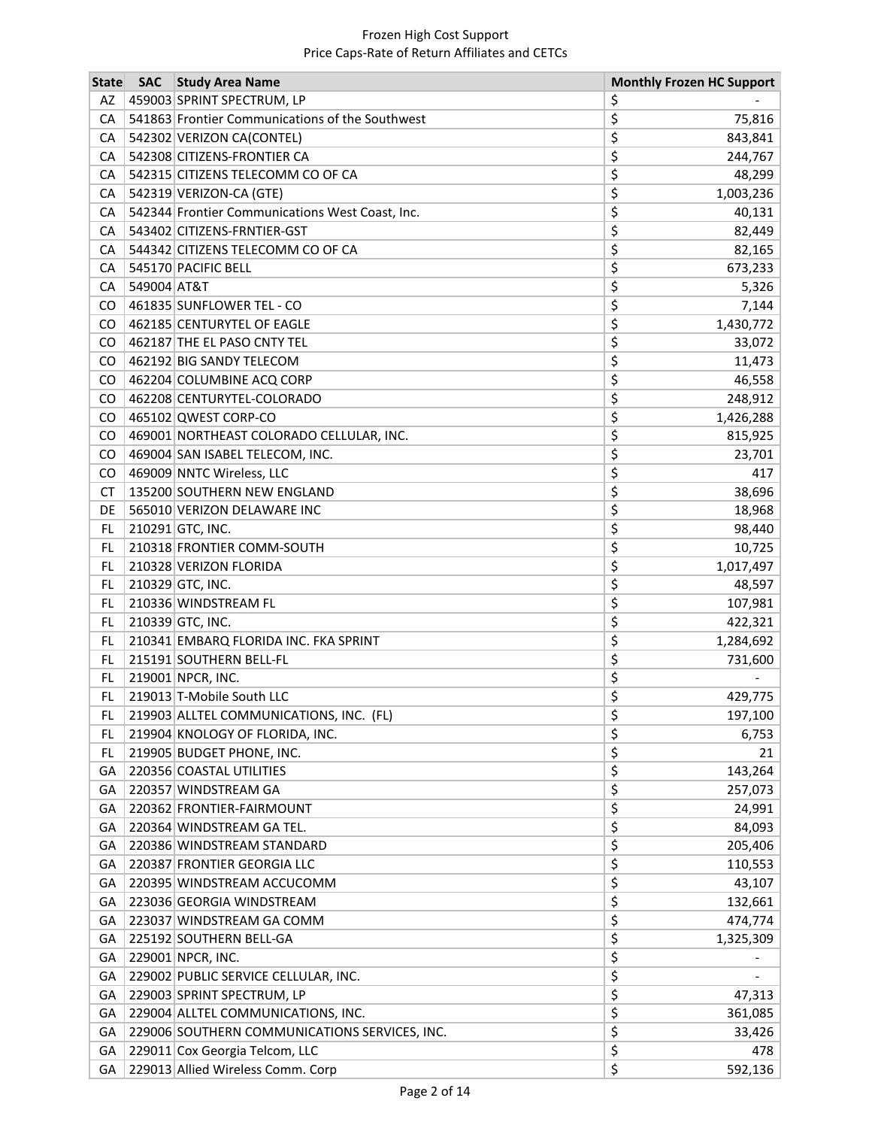| 459003 SPRINT SPECTRUM, LP<br>\$<br>AZ<br>\$<br>541863 Frontier Communications of the Southwest<br>CA<br>75,816<br>\$<br>542302 VERIZON CA(CONTEL)<br>CA<br>843,841<br>\$<br>542308 CITIZENS-FRONTIER CA<br>244,767<br>CA<br>\$<br>542315 CITIZENS TELECOMM CO OF CA<br>48,299<br>CA<br>\$<br>542319 VERIZON-CA (GTE)<br>1,003,236<br>CA<br>\$<br>542344 Frontier Communications West Coast, Inc.<br>CA<br>40,131<br>\$<br>543402 CITIZENS-FRNTIER-GST<br>82,449<br>CA<br>\$<br>CA<br>544342 CITIZENS TELECOMM CO OF CA<br>82,165<br>\$<br>545170 PACIFIC BELL<br>CA<br>673,233<br>\$<br>549004 AT&T<br>5,326<br>CA<br>\$<br>CO<br>461835 SUNFLOWER TEL - CO<br>7,144<br>\$<br>462185 CENTURYTEL OF EAGLE<br>1,430,772<br>CO.<br>\$<br>462187 THE EL PASO CNTY TEL<br>33,072<br>CO.<br>\$<br>462192 BIG SANDY TELECOM<br>11,473<br>CO.<br>\$<br>462204 COLUMBINE ACQ CORP<br>CO.<br>46,558<br>\$<br>CO<br>462208 CENTURYTEL-COLORADO<br>248,912<br>\$<br>CO<br>465102 QWEST CORP-CO<br>1,426,288<br>\$<br>469001 NORTHEAST COLORADO CELLULAR, INC.<br>815,925<br>CO.<br>\$<br>469004 SAN ISABEL TELECOM, INC.<br>CO<br>23,701<br>\$<br>469009 NNTC Wireless, LLC<br>CO.<br>417<br>\$<br>38,696<br><b>CT</b><br>135200 SOUTHERN NEW ENGLAND<br>\$<br><b>DE</b><br>565010 VERIZON DELAWARE INC<br>18,968<br>\$<br>210291 GTC, INC.<br>FL.<br>98,440<br>\$<br>FL.<br>210318 FRONTIER COMM-SOUTH<br>10,725<br>\$<br>210328 VERIZON FLORIDA<br>FL.<br>1,017,497<br>\$<br>210329 GTC, INC.<br>FL.<br>48,597<br>\$<br>210336 WINDSTREAM FL<br>FL.<br>107,981<br>\$<br>210339 GTC, INC.<br>422,321<br>FL.<br>\$<br>FL.<br>210341 EMBARQ FLORIDA INC. FKA SPRINT<br>1,284,692<br>\$<br>FL.<br>215191 SOUTHERN BELL-FL<br>731,600 |
|-------------------------------------------------------------------------------------------------------------------------------------------------------------------------------------------------------------------------------------------------------------------------------------------------------------------------------------------------------------------------------------------------------------------------------------------------------------------------------------------------------------------------------------------------------------------------------------------------------------------------------------------------------------------------------------------------------------------------------------------------------------------------------------------------------------------------------------------------------------------------------------------------------------------------------------------------------------------------------------------------------------------------------------------------------------------------------------------------------------------------------------------------------------------------------------------------------------------------------------------------------------------------------------------------------------------------------------------------------------------------------------------------------------------------------------------------------------------------------------------------------------------------------------------------------------------------------------------------------------------------------------------------------------------------------------------------------------------------|
|                                                                                                                                                                                                                                                                                                                                                                                                                                                                                                                                                                                                                                                                                                                                                                                                                                                                                                                                                                                                                                                                                                                                                                                                                                                                                                                                                                                                                                                                                                                                                                                                                                                                                                                         |
|                                                                                                                                                                                                                                                                                                                                                                                                                                                                                                                                                                                                                                                                                                                                                                                                                                                                                                                                                                                                                                                                                                                                                                                                                                                                                                                                                                                                                                                                                                                                                                                                                                                                                                                         |
|                                                                                                                                                                                                                                                                                                                                                                                                                                                                                                                                                                                                                                                                                                                                                                                                                                                                                                                                                                                                                                                                                                                                                                                                                                                                                                                                                                                                                                                                                                                                                                                                                                                                                                                         |
|                                                                                                                                                                                                                                                                                                                                                                                                                                                                                                                                                                                                                                                                                                                                                                                                                                                                                                                                                                                                                                                                                                                                                                                                                                                                                                                                                                                                                                                                                                                                                                                                                                                                                                                         |
|                                                                                                                                                                                                                                                                                                                                                                                                                                                                                                                                                                                                                                                                                                                                                                                                                                                                                                                                                                                                                                                                                                                                                                                                                                                                                                                                                                                                                                                                                                                                                                                                                                                                                                                         |
|                                                                                                                                                                                                                                                                                                                                                                                                                                                                                                                                                                                                                                                                                                                                                                                                                                                                                                                                                                                                                                                                                                                                                                                                                                                                                                                                                                                                                                                                                                                                                                                                                                                                                                                         |
|                                                                                                                                                                                                                                                                                                                                                                                                                                                                                                                                                                                                                                                                                                                                                                                                                                                                                                                                                                                                                                                                                                                                                                                                                                                                                                                                                                                                                                                                                                                                                                                                                                                                                                                         |
|                                                                                                                                                                                                                                                                                                                                                                                                                                                                                                                                                                                                                                                                                                                                                                                                                                                                                                                                                                                                                                                                                                                                                                                                                                                                                                                                                                                                                                                                                                                                                                                                                                                                                                                         |
|                                                                                                                                                                                                                                                                                                                                                                                                                                                                                                                                                                                                                                                                                                                                                                                                                                                                                                                                                                                                                                                                                                                                                                                                                                                                                                                                                                                                                                                                                                                                                                                                                                                                                                                         |
|                                                                                                                                                                                                                                                                                                                                                                                                                                                                                                                                                                                                                                                                                                                                                                                                                                                                                                                                                                                                                                                                                                                                                                                                                                                                                                                                                                                                                                                                                                                                                                                                                                                                                                                         |
|                                                                                                                                                                                                                                                                                                                                                                                                                                                                                                                                                                                                                                                                                                                                                                                                                                                                                                                                                                                                                                                                                                                                                                                                                                                                                                                                                                                                                                                                                                                                                                                                                                                                                                                         |
|                                                                                                                                                                                                                                                                                                                                                                                                                                                                                                                                                                                                                                                                                                                                                                                                                                                                                                                                                                                                                                                                                                                                                                                                                                                                                                                                                                                                                                                                                                                                                                                                                                                                                                                         |
|                                                                                                                                                                                                                                                                                                                                                                                                                                                                                                                                                                                                                                                                                                                                                                                                                                                                                                                                                                                                                                                                                                                                                                                                                                                                                                                                                                                                                                                                                                                                                                                                                                                                                                                         |
|                                                                                                                                                                                                                                                                                                                                                                                                                                                                                                                                                                                                                                                                                                                                                                                                                                                                                                                                                                                                                                                                                                                                                                                                                                                                                                                                                                                                                                                                                                                                                                                                                                                                                                                         |
|                                                                                                                                                                                                                                                                                                                                                                                                                                                                                                                                                                                                                                                                                                                                                                                                                                                                                                                                                                                                                                                                                                                                                                                                                                                                                                                                                                                                                                                                                                                                                                                                                                                                                                                         |
|                                                                                                                                                                                                                                                                                                                                                                                                                                                                                                                                                                                                                                                                                                                                                                                                                                                                                                                                                                                                                                                                                                                                                                                                                                                                                                                                                                                                                                                                                                                                                                                                                                                                                                                         |
|                                                                                                                                                                                                                                                                                                                                                                                                                                                                                                                                                                                                                                                                                                                                                                                                                                                                                                                                                                                                                                                                                                                                                                                                                                                                                                                                                                                                                                                                                                                                                                                                                                                                                                                         |
|                                                                                                                                                                                                                                                                                                                                                                                                                                                                                                                                                                                                                                                                                                                                                                                                                                                                                                                                                                                                                                                                                                                                                                                                                                                                                                                                                                                                                                                                                                                                                                                                                                                                                                                         |
|                                                                                                                                                                                                                                                                                                                                                                                                                                                                                                                                                                                                                                                                                                                                                                                                                                                                                                                                                                                                                                                                                                                                                                                                                                                                                                                                                                                                                                                                                                                                                                                                                                                                                                                         |
|                                                                                                                                                                                                                                                                                                                                                                                                                                                                                                                                                                                                                                                                                                                                                                                                                                                                                                                                                                                                                                                                                                                                                                                                                                                                                                                                                                                                                                                                                                                                                                                                                                                                                                                         |
|                                                                                                                                                                                                                                                                                                                                                                                                                                                                                                                                                                                                                                                                                                                                                                                                                                                                                                                                                                                                                                                                                                                                                                                                                                                                                                                                                                                                                                                                                                                                                                                                                                                                                                                         |
|                                                                                                                                                                                                                                                                                                                                                                                                                                                                                                                                                                                                                                                                                                                                                                                                                                                                                                                                                                                                                                                                                                                                                                                                                                                                                                                                                                                                                                                                                                                                                                                                                                                                                                                         |
|                                                                                                                                                                                                                                                                                                                                                                                                                                                                                                                                                                                                                                                                                                                                                                                                                                                                                                                                                                                                                                                                                                                                                                                                                                                                                                                                                                                                                                                                                                                                                                                                                                                                                                                         |
|                                                                                                                                                                                                                                                                                                                                                                                                                                                                                                                                                                                                                                                                                                                                                                                                                                                                                                                                                                                                                                                                                                                                                                                                                                                                                                                                                                                                                                                                                                                                                                                                                                                                                                                         |
|                                                                                                                                                                                                                                                                                                                                                                                                                                                                                                                                                                                                                                                                                                                                                                                                                                                                                                                                                                                                                                                                                                                                                                                                                                                                                                                                                                                                                                                                                                                                                                                                                                                                                                                         |
|                                                                                                                                                                                                                                                                                                                                                                                                                                                                                                                                                                                                                                                                                                                                                                                                                                                                                                                                                                                                                                                                                                                                                                                                                                                                                                                                                                                                                                                                                                                                                                                                                                                                                                                         |
|                                                                                                                                                                                                                                                                                                                                                                                                                                                                                                                                                                                                                                                                                                                                                                                                                                                                                                                                                                                                                                                                                                                                                                                                                                                                                                                                                                                                                                                                                                                                                                                                                                                                                                                         |
|                                                                                                                                                                                                                                                                                                                                                                                                                                                                                                                                                                                                                                                                                                                                                                                                                                                                                                                                                                                                                                                                                                                                                                                                                                                                                                                                                                                                                                                                                                                                                                                                                                                                                                                         |
|                                                                                                                                                                                                                                                                                                                                                                                                                                                                                                                                                                                                                                                                                                                                                                                                                                                                                                                                                                                                                                                                                                                                                                                                                                                                                                                                                                                                                                                                                                                                                                                                                                                                                                                         |
|                                                                                                                                                                                                                                                                                                                                                                                                                                                                                                                                                                                                                                                                                                                                                                                                                                                                                                                                                                                                                                                                                                                                                                                                                                                                                                                                                                                                                                                                                                                                                                                                                                                                                                                         |
|                                                                                                                                                                                                                                                                                                                                                                                                                                                                                                                                                                                                                                                                                                                                                                                                                                                                                                                                                                                                                                                                                                                                                                                                                                                                                                                                                                                                                                                                                                                                                                                                                                                                                                                         |
| \$<br>219001 NPCR, INC.<br>FL.                                                                                                                                                                                                                                                                                                                                                                                                                                                                                                                                                                                                                                                                                                                                                                                                                                                                                                                                                                                                                                                                                                                                                                                                                                                                                                                                                                                                                                                                                                                                                                                                                                                                                          |
| \$<br>219013 T-Mobile South LLC<br>429,775<br>FL.                                                                                                                                                                                                                                                                                                                                                                                                                                                                                                                                                                                                                                                                                                                                                                                                                                                                                                                                                                                                                                                                                                                                                                                                                                                                                                                                                                                                                                                                                                                                                                                                                                                                       |
| \$<br>219903 ALLTEL COMMUNICATIONS, INC. (FL)<br>FL.<br>197,100                                                                                                                                                                                                                                                                                                                                                                                                                                                                                                                                                                                                                                                                                                                                                                                                                                                                                                                                                                                                                                                                                                                                                                                                                                                                                                                                                                                                                                                                                                                                                                                                                                                         |
| \$<br>219904 KNOLOGY OF FLORIDA, INC.<br>6,753<br>FL                                                                                                                                                                                                                                                                                                                                                                                                                                                                                                                                                                                                                                                                                                                                                                                                                                                                                                                                                                                                                                                                                                                                                                                                                                                                                                                                                                                                                                                                                                                                                                                                                                                                    |
| \$<br>FL.<br>219905 BUDGET PHONE, INC.<br>21                                                                                                                                                                                                                                                                                                                                                                                                                                                                                                                                                                                                                                                                                                                                                                                                                                                                                                                                                                                                                                                                                                                                                                                                                                                                                                                                                                                                                                                                                                                                                                                                                                                                            |
| \$<br>220356 COASTAL UTILITIES<br>GA<br>143,264                                                                                                                                                                                                                                                                                                                                                                                                                                                                                                                                                                                                                                                                                                                                                                                                                                                                                                                                                                                                                                                                                                                                                                                                                                                                                                                                                                                                                                                                                                                                                                                                                                                                         |
| \$<br>220357 WINDSTREAM GA<br>GA<br>257,073                                                                                                                                                                                                                                                                                                                                                                                                                                                                                                                                                                                                                                                                                                                                                                                                                                                                                                                                                                                                                                                                                                                                                                                                                                                                                                                                                                                                                                                                                                                                                                                                                                                                             |
| \$<br>220362 FRONTIER-FAIRMOUNT<br>GA<br>24,991                                                                                                                                                                                                                                                                                                                                                                                                                                                                                                                                                                                                                                                                                                                                                                                                                                                                                                                                                                                                                                                                                                                                                                                                                                                                                                                                                                                                                                                                                                                                                                                                                                                                         |
| \$<br>GA<br>220364 WINDSTREAM GA TEL.<br>84,093                                                                                                                                                                                                                                                                                                                                                                                                                                                                                                                                                                                                                                                                                                                                                                                                                                                                                                                                                                                                                                                                                                                                                                                                                                                                                                                                                                                                                                                                                                                                                                                                                                                                         |
| \$<br>220386 WINDSTREAM STANDARD<br>GA<br>205,406                                                                                                                                                                                                                                                                                                                                                                                                                                                                                                                                                                                                                                                                                                                                                                                                                                                                                                                                                                                                                                                                                                                                                                                                                                                                                                                                                                                                                                                                                                                                                                                                                                                                       |
| \$<br>220387 FRONTIER GEORGIA LLC<br>GA<br>110,553                                                                                                                                                                                                                                                                                                                                                                                                                                                                                                                                                                                                                                                                                                                                                                                                                                                                                                                                                                                                                                                                                                                                                                                                                                                                                                                                                                                                                                                                                                                                                                                                                                                                      |
| \$<br>GA<br>220395 WINDSTREAM ACCUCOMM<br>43,107<br>\$<br>GA                                                                                                                                                                                                                                                                                                                                                                                                                                                                                                                                                                                                                                                                                                                                                                                                                                                                                                                                                                                                                                                                                                                                                                                                                                                                                                                                                                                                                                                                                                                                                                                                                                                            |
| 223036 GEORGIA WINDSTREAM<br>132,661<br>\$                                                                                                                                                                                                                                                                                                                                                                                                                                                                                                                                                                                                                                                                                                                                                                                                                                                                                                                                                                                                                                                                                                                                                                                                                                                                                                                                                                                                                                                                                                                                                                                                                                                                              |
| GA<br>223037 WINDSTREAM GA COMM<br>474,774<br>\$<br>225192 SOUTHERN BELL-GA<br>GA                                                                                                                                                                                                                                                                                                                                                                                                                                                                                                                                                                                                                                                                                                                                                                                                                                                                                                                                                                                                                                                                                                                                                                                                                                                                                                                                                                                                                                                                                                                                                                                                                                       |
| 1,325,309<br>\$<br>GA<br>229001 NPCR, INC.                                                                                                                                                                                                                                                                                                                                                                                                                                                                                                                                                                                                                                                                                                                                                                                                                                                                                                                                                                                                                                                                                                                                                                                                                                                                                                                                                                                                                                                                                                                                                                                                                                                                              |
| \$<br>GA<br>229002 PUBLIC SERVICE CELLULAR, INC.                                                                                                                                                                                                                                                                                                                                                                                                                                                                                                                                                                                                                                                                                                                                                                                                                                                                                                                                                                                                                                                                                                                                                                                                                                                                                                                                                                                                                                                                                                                                                                                                                                                                        |
| \$<br>229003 SPRINT SPECTRUM, LP<br>47,313<br>GA                                                                                                                                                                                                                                                                                                                                                                                                                                                                                                                                                                                                                                                                                                                                                                                                                                                                                                                                                                                                                                                                                                                                                                                                                                                                                                                                                                                                                                                                                                                                                                                                                                                                        |
| \$<br>229004 ALLTEL COMMUNICATIONS, INC.<br>361,085<br>GА                                                                                                                                                                                                                                                                                                                                                                                                                                                                                                                                                                                                                                                                                                                                                                                                                                                                                                                                                                                                                                                                                                                                                                                                                                                                                                                                                                                                                                                                                                                                                                                                                                                               |
| \$<br>229006 SOUTHERN COMMUNICATIONS SERVICES, INC.<br>GА<br>33,426                                                                                                                                                                                                                                                                                                                                                                                                                                                                                                                                                                                                                                                                                                                                                                                                                                                                                                                                                                                                                                                                                                                                                                                                                                                                                                                                                                                                                                                                                                                                                                                                                                                     |
| \$<br>229011 Cox Georgia Telcom, LLC<br>GA<br>478                                                                                                                                                                                                                                                                                                                                                                                                                                                                                                                                                                                                                                                                                                                                                                                                                                                                                                                                                                                                                                                                                                                                                                                                                                                                                                                                                                                                                                                                                                                                                                                                                                                                       |
| \$<br>229013 Allied Wireless Comm. Corp<br>592,136<br>GA                                                                                                                                                                                                                                                                                                                                                                                                                                                                                                                                                                                                                                                                                                                                                                                                                                                                                                                                                                                                                                                                                                                                                                                                                                                                                                                                                                                                                                                                                                                                                                                                                                                                |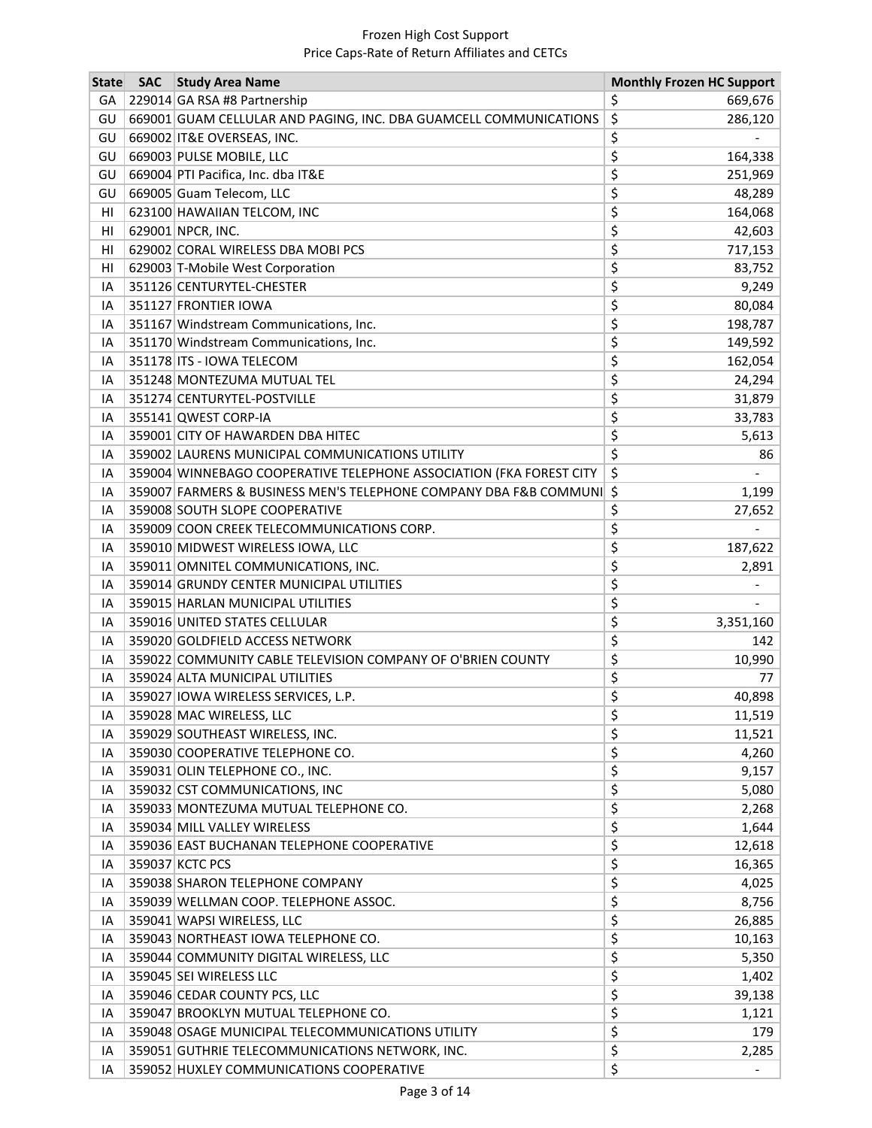| <b>State</b> | <b>SAC</b> | <b>Study Area Name</b>                                               | <b>Monthly Frozen HC Support</b> |
|--------------|------------|----------------------------------------------------------------------|----------------------------------|
| GA           |            | 229014 GA RSA #8 Partnership                                         | 669,676<br>Ş                     |
| GU           |            | 669001 GUAM CELLULAR AND PAGING, INC. DBA GUAMCELL COMMUNICATIONS    | \$<br>286,120                    |
| GU           |            | 669002 IT&E OVERSEAS, INC.                                           | \$                               |
| GU           |            | 669003 PULSE MOBILE, LLC                                             | \$<br>164,338                    |
| GU           |            | 669004 PTI Pacifica, Inc. dba IT&E                                   | \$<br>251,969                    |
| GU           |            | 669005 Guam Telecom, LLC                                             | \$<br>48,289                     |
| HI           |            | 623100 HAWAIIAN TELCOM, INC                                          | \$<br>164,068                    |
| HI           |            | 629001 NPCR, INC.                                                    | \$<br>42,603                     |
| HI           |            | 629002 CORAL WIRELESS DBA MOBI PCS                                   | \$<br>717,153                    |
| HI           |            | 629003 T-Mobile West Corporation                                     | \$<br>83,752                     |
| IA           |            | 351126 CENTURYTEL-CHESTER                                            | \$<br>9,249                      |
| IA           |            | 351127 FRONTIER IOWA                                                 | \$<br>80,084                     |
| IA           |            | 351167 Windstream Communications, Inc.                               | \$<br>198,787                    |
| IA           |            | 351170 Windstream Communications, Inc.                               | \$<br>149,592                    |
| IA           |            | 351178 ITS - IOWA TELECOM                                            | \$<br>162,054                    |
| IA           |            | 351248 MONTEZUMA MUTUAL TEL                                          | \$<br>24,294                     |
| IA           |            | 351274 CENTURYTEL-POSTVILLE                                          | \$<br>31,879                     |
| IA           |            | 355141 QWEST CORP-IA                                                 | \$<br>33,783                     |
| IA           |            | 359001 CITY OF HAWARDEN DBA HITEC                                    | \$<br>5,613                      |
| IA           |            | 359002 LAURENS MUNICIPAL COMMUNICATIONS UTILITY                      | \$<br>86                         |
| IA           |            | 359004 WINNEBAGO COOPERATIVE TELEPHONE ASSOCIATION (FKA FOREST CITY  | \$                               |
| ΙA           |            | 359007 FARMERS & BUSINESS MEN'S TELEPHONE COMPANY DBA F&B COMMUNI \$ | 1,199                            |
| IA           |            | 359008 SOUTH SLOPE COOPERATIVE                                       | \$<br>27,652                     |
| IA           |            | 359009 COON CREEK TELECOMMUNICATIONS CORP.                           | \$                               |
| IA           |            | 359010 MIDWEST WIRELESS IOWA, LLC                                    | \$<br>187,622                    |
| IA           |            | 359011 OMNITEL COMMUNICATIONS, INC.                                  | \$<br>2,891                      |
| IA           |            | 359014 GRUNDY CENTER MUNICIPAL UTILITIES                             | \$                               |
| IA           |            | 359015 HARLAN MUNICIPAL UTILITIES                                    | \$                               |
| IA           |            | 359016 UNITED STATES CELLULAR                                        | \$<br>3,351,160                  |
| IA           |            | 359020 GOLDFIELD ACCESS NETWORK                                      | \$<br>142                        |
| IA           |            | 359022 COMMUNITY CABLE TELEVISION COMPANY OF O'BRIEN COUNTY          | \$<br>10,990                     |
| IA           |            | 359024 ALTA MUNICIPAL UTILITIES                                      | \$<br>77                         |
| ΙA           |            | 359027 IOWA WIRELESS SERVICES, L.P.                                  | \$<br>40,898                     |
| ΙA           |            | 359028 MAC WIRELESS, LLC                                             | 11,519<br>Ş                      |
| IA           |            | 359029 SOUTHEAST WIRELESS, INC.                                      | \$<br>11,521                     |
| IA           |            | 359030 COOPERATIVE TELEPHONE CO.                                     | \$<br>4,260                      |
| IA           |            | 359031 OLIN TELEPHONE CO., INC.                                      | \$<br>9,157                      |
| IA           |            | 359032 CST COMMUNICATIONS, INC                                       | \$<br>5,080                      |
| IA           |            | 359033 MONTEZUMA MUTUAL TELEPHONE CO.                                | \$<br>2,268                      |
| IA           |            | 359034 MILL VALLEY WIRELESS                                          | \$<br>1,644                      |
| IA           |            | 359036 EAST BUCHANAN TELEPHONE COOPERATIVE                           | \$<br>12,618                     |
| IA           |            | 359037 KCTC PCS                                                      | \$<br>16,365                     |
| IA           |            | 359038 SHARON TELEPHONE COMPANY                                      | \$<br>4,025                      |
| ΙA           |            | 359039 WELLMAN COOP. TELEPHONE ASSOC.                                | \$<br>8,756                      |
| IA           |            | 359041 WAPSI WIRELESS, LLC                                           | \$<br>26,885                     |
| IA           |            | 359043 NORTHEAST IOWA TELEPHONE CO.                                  | \$<br>10,163                     |
| IA           |            | 359044 COMMUNITY DIGITAL WIRELESS, LLC                               | \$<br>5,350                      |
| IA           |            | 359045 SEI WIRELESS LLC                                              | \$<br>1,402                      |
| IA           |            | 359046 CEDAR COUNTY PCS, LLC                                         | \$<br>39,138                     |
| IA           |            | 359047 BROOKLYN MUTUAL TELEPHONE CO.                                 | \$<br>1,121                      |
| IA           |            | 359048 OSAGE MUNICIPAL TELECOMMUNICATIONS UTILITY                    | \$<br>179                        |
| IA           |            | 359051 GUTHRIE TELECOMMUNICATIONS NETWORK, INC.                      | \$<br>2,285                      |
| IA           |            | 359052 HUXLEY COMMUNICATIONS COOPERATIVE                             | \$                               |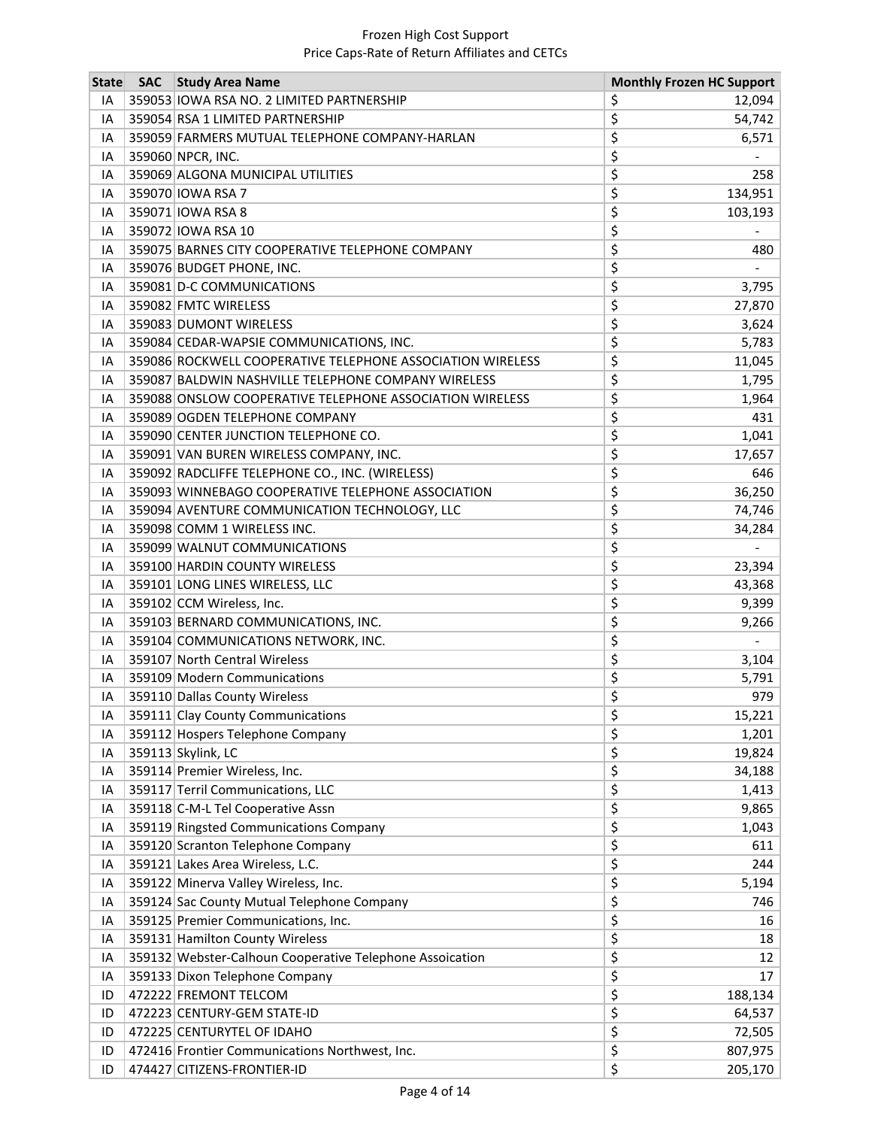| <b>State</b> | <b>SAC</b> | <b>Study Area Name</b>                                     | <b>Monthly Frozen HC Support</b> |         |
|--------------|------------|------------------------------------------------------------|----------------------------------|---------|
| IA           |            | 359053 IOWA RSA NO. 2 LIMITED PARTNERSHIP                  | \$                               | 12,094  |
| IA           |            | 359054 RSA 1 LIMITED PARTNERSHIP                           | \$                               | 54,742  |
| IA           |            | 359059 FARMERS MUTUAL TELEPHONE COMPANY-HARLAN             | \$                               | 6,571   |
| ΙA           |            | 359060 NPCR, INC.                                          | \$                               |         |
| ΙA           |            | 359069 ALGONA MUNICIPAL UTILITIES                          | \$                               | 258     |
| ΙA           |            | 359070 IOWA RSA 7                                          | \$                               | 134,951 |
| ΙA           |            | 359071 IOWA RSA 8                                          | \$                               | 103,193 |
| IA           |            | 359072 IOWA RSA 10                                         | \$                               |         |
| IA           |            | 359075 BARNES CITY COOPERATIVE TELEPHONE COMPANY           | \$                               | 480     |
| IA           |            | 359076 BUDGET PHONE, INC.                                  | \$                               |         |
| IA           |            | 359081 D-C COMMUNICATIONS                                  | \$                               | 3,795   |
| IA           |            | 359082 FMTC WIRELESS                                       | \$                               | 27,870  |
| IA           |            | 359083 DUMONT WIRELESS                                     | \$                               | 3,624   |
| IA           |            | 359084 CEDAR-WAPSIE COMMUNICATIONS, INC.                   | \$                               | 5,783   |
| IA           |            | 359086 ROCKWELL COOPERATIVE TELEPHONE ASSOCIATION WIRELESS | \$                               | 11,045  |
| IA           |            | 359087 BALDWIN NASHVILLE TELEPHONE COMPANY WIRELESS        | \$                               | 1,795   |
| IA           |            | 359088 ONSLOW COOPERATIVE TELEPHONE ASSOCIATION WIRELESS   | \$                               | 1,964   |
| ΙA           |            | 359089 OGDEN TELEPHONE COMPANY                             | \$                               | 431     |
| IA           |            | 359090 CENTER JUNCTION TELEPHONE CO.                       | \$                               | 1,041   |
| IA           |            | 359091 VAN BUREN WIRELESS COMPANY, INC.                    | \$                               | 17,657  |
| IA           |            | 359092 RADCLIFFE TELEPHONE CO., INC. (WIRELESS)            | \$                               | 646     |
| IA           |            | 359093 WINNEBAGO COOPERATIVE TELEPHONE ASSOCIATION         | \$                               | 36,250  |
| IA           |            | 359094 AVENTURE COMMUNICATION TECHNOLOGY, LLC              | \$                               | 74,746  |
| IA           |            | 359098 COMM 1 WIRELESS INC.                                | \$                               | 34,284  |
| IA           |            | 359099 WALNUT COMMUNICATIONS                               | \$                               |         |
| IA           |            | 359100 HARDIN COUNTY WIRELESS                              | \$                               | 23,394  |
| IA           |            | 359101 LONG LINES WIRELESS, LLC                            | \$                               | 43,368  |
| IA           |            | 359102 CCM Wireless, Inc.                                  | \$                               | 9,399   |
| IA           |            | 359103 BERNARD COMMUNICATIONS, INC.                        | \$                               | 9,266   |
| IA           |            | 359104 COMMUNICATIONS NETWORK, INC.                        | \$                               |         |
| IA           |            | 359107 North Central Wireless                              | \$                               | 3,104   |
| IA           |            | 359109 Modern Communications                               | \$                               | 5,791   |
| ΙA           |            | 359110 Dallas County Wireless                              | \$                               | 979     |
| ΙA           |            | 359111 Clay County Communications                          | Ş                                | 15,221  |
| IA           |            | 359112 Hospers Telephone Company                           | \$                               | 1,201   |
| IA           |            | 359113 Skylink, LC                                         | \$                               | 19,824  |
| IA           |            | 359114 Premier Wireless, Inc.                              | \$                               | 34,188  |
| ΙA           |            | 359117 Terril Communications, LLC                          | \$                               | 1,413   |
| IA           |            | 359118 C-M-L Tel Cooperative Assn                          | \$                               | 9,865   |
| ΙA           |            | 359119 Ringsted Communications Company                     | \$                               | 1,043   |
| IA           |            | 359120 Scranton Telephone Company                          | \$                               | 611     |
| IA           |            | 359121 Lakes Area Wireless, L.C.                           | \$                               | 244     |
| IA           |            | 359122 Minerva Valley Wireless, Inc.                       | \$                               | 5,194   |
| ΙA           |            | 359124 Sac County Mutual Telephone Company                 | \$                               | 746     |
| IA           |            | 359125 Premier Communications, Inc.                        | \$                               | 16      |
| IA           |            | 359131 Hamilton County Wireless                            | \$                               | 18      |
| IA           |            | 359132 Webster-Calhoun Cooperative Telephone Assoication   | \$                               | 12      |
| IA           |            | 359133 Dixon Telephone Company                             | \$                               | 17      |
| ID           |            | 472222 FREMONT TELCOM                                      | \$                               | 188,134 |
| ID           |            | 472223 CENTURY-GEM STATE-ID                                | \$                               | 64,537  |
| ID           |            | 472225 CENTURYTEL OF IDAHO                                 | \$                               | 72,505  |
| ID           |            | 472416 Frontier Communications Northwest, Inc.             | \$                               | 807,975 |
| ID           |            | 474427 CITIZENS-FRONTIER-ID                                | \$                               | 205,170 |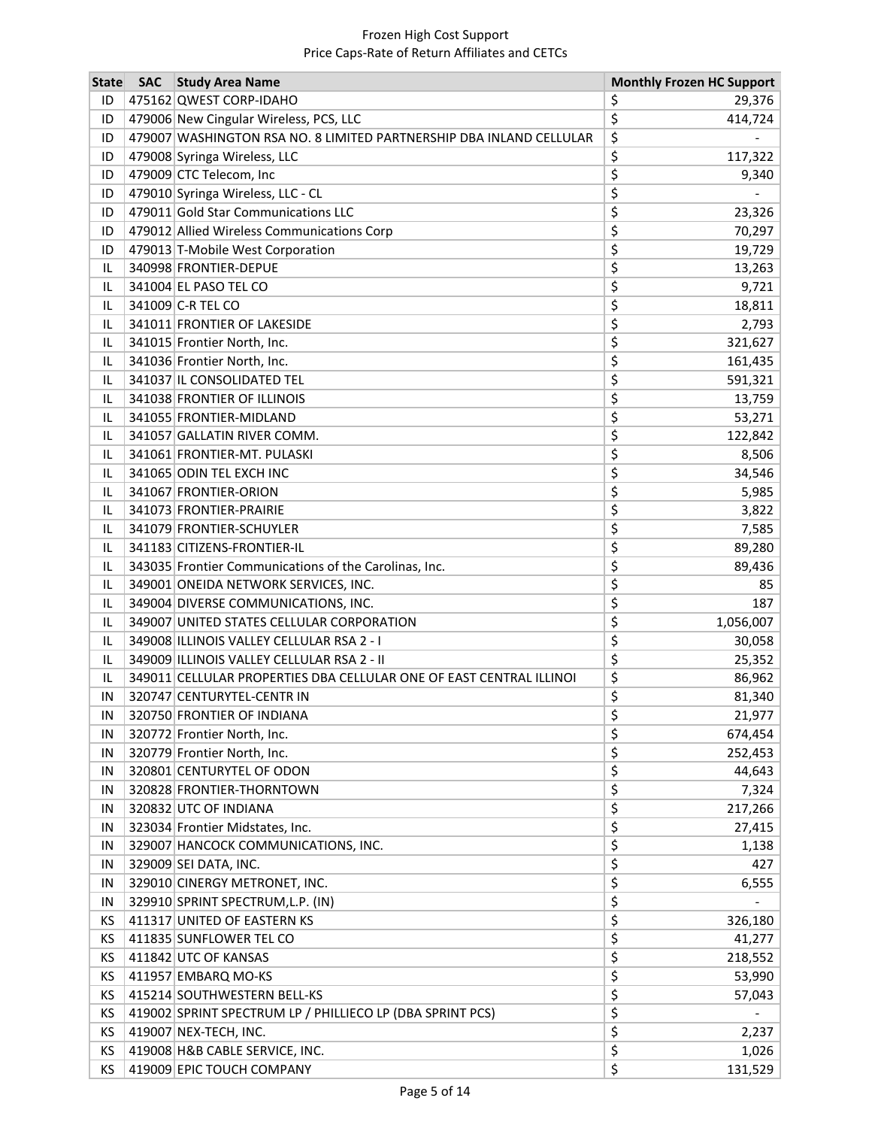| <b>State</b> | <b>SAC</b> | <b>Study Area Name</b>                                              | <b>Monthly Frozen HC Support</b> |
|--------------|------------|---------------------------------------------------------------------|----------------------------------|
| ID           |            | 475162 QWEST CORP-IDAHO                                             | \$<br>29,376                     |
| ID           |            | 479006 New Cingular Wireless, PCS, LLC                              | \$<br>414,724                    |
| ID           |            | 479007 WASHINGTON RSA NO. 8 LIMITED PARTNERSHIP DBA INLAND CELLULAR | \$                               |
| ID           |            | 479008 Syringa Wireless, LLC                                        | \$<br>117,322                    |
| ID           |            | 479009 CTC Telecom, Inc                                             | \$<br>9,340                      |
| ID           |            | 479010 Syringa Wireless, LLC - CL                                   | \$                               |
| ID           |            | 479011 Gold Star Communications LLC                                 | \$<br>23,326                     |
| ID           |            | 479012 Allied Wireless Communications Corp                          | \$<br>70,297                     |
| ID           |            | 479013 T-Mobile West Corporation                                    | \$<br>19,729                     |
| IL           |            | 340998 FRONTIER-DEPUE                                               | \$<br>13,263                     |
| IL           |            | 341004 EL PASO TEL CO                                               | \$<br>9,721                      |
| IL           |            | 341009 C-R TEL CO                                                   | \$<br>18,811                     |
| IL           |            | 341011 FRONTIER OF LAKESIDE                                         | \$<br>2,793                      |
| IL           |            | 341015 Frontier North, Inc.                                         | \$<br>321,627                    |
| IL           |            | 341036 Frontier North, Inc.                                         | \$<br>161,435                    |
| IL           |            | 341037 IL CONSOLIDATED TEL                                          | \$<br>591,321                    |
| IL           |            | 341038 FRONTIER OF ILLINOIS                                         | \$<br>13,759                     |
| IL           |            | 341055 FRONTIER-MIDLAND                                             | \$<br>53,271                     |
| IL           |            | 341057 GALLATIN RIVER COMM.                                         | \$<br>122,842                    |
| IL           |            | 341061 FRONTIER-MT. PULASKI                                         | \$<br>8,506                      |
| IL           |            | 341065 ODIN TEL EXCH INC                                            | \$<br>34,546                     |
| IL           |            | 341067 FRONTIER-ORION                                               | \$<br>5,985                      |
| IL           |            | 341073 FRONTIER-PRAIRIE                                             | \$<br>3,822                      |
| IL           |            | 341079 FRONTIER-SCHUYLER                                            | \$<br>7,585                      |
| IL           |            | 341183 CITIZENS-FRONTIER-IL                                         | \$<br>89,280                     |
| IL           |            | 343035 Frontier Communications of the Carolinas, Inc.               | \$<br>89,436                     |
| IL           |            | 349001 ONEIDA NETWORK SERVICES, INC.                                | \$<br>85                         |
| IL           |            | 349004 DIVERSE COMMUNICATIONS, INC.                                 | \$<br>187                        |
| IL           |            | 349007 UNITED STATES CELLULAR CORPORATION                           | \$<br>1,056,007                  |
| IL           |            | 349008 ILLINOIS VALLEY CELLULAR RSA 2 - I                           | \$<br>30,058                     |
| IL           |            | 349009 ILLINOIS VALLEY CELLULAR RSA 2 - II                          | \$<br>25,352                     |
| IL           |            | 349011 CELLULAR PROPERTIES DBA CELLULAR ONE OF EAST CENTRAL ILLINOI | \$<br>86,962                     |
| ΙN           |            | 320747 CENTURYTEL-CENTR IN                                          | \$<br>81,340                     |
| ΙN           |            | 320750 FRONTIER OF INDIANA                                          | 21,977<br>Ş                      |
| IN           |            | 320772 Frontier North, Inc.                                         | \$<br>674,454                    |
| IN           |            | 320779 Frontier North, Inc.                                         | \$<br>252,453                    |
| IN           |            | 320801 CENTURYTEL OF ODON                                           | \$<br>44,643                     |
| IN           |            | 320828 FRONTIER-THORNTOWN                                           | \$<br>7,324                      |
| IN           |            | 320832 UTC OF INDIANA                                               | \$<br>217,266                    |
| IN           |            | 323034 Frontier Midstates, Inc.                                     | \$<br>27,415                     |
| IN           |            | 329007 HANCOCK COMMUNICATIONS, INC.                                 | \$<br>1,138                      |
| IN           |            | 329009 SEI DATA, INC.                                               | \$<br>427                        |
| IN           |            | 329010 CINERGY METRONET, INC.                                       | \$<br>6,555                      |
| IN           |            | 329910 SPRINT SPECTRUM, L.P. (IN)                                   | \$                               |
| ΚS           |            | 411317 UNITED OF EASTERN KS                                         | \$<br>326,180                    |
| KS           |            | 411835 SUNFLOWER TEL CO                                             | \$<br>41,277                     |
| ΚS           |            | 411842 UTC OF KANSAS                                                | \$<br>218,552                    |
| ΚS           |            | 411957 EMBARQ MO-KS                                                 | \$<br>53,990                     |
| ΚS           |            | 415214 SOUTHWESTERN BELL-KS                                         | \$<br>57,043                     |
| ΚS           |            | 419002 SPRINT SPECTRUM LP / PHILLIECO LP (DBA SPRINT PCS)           | \$                               |
| ΚS           |            | 419007 NEX-TECH, INC.                                               | \$<br>2,237                      |
| KS           |            | 419008 H&B CABLE SERVICE, INC.                                      | \$<br>1,026                      |
| KS           |            | 419009 EPIC TOUCH COMPANY                                           | \$<br>131,529                    |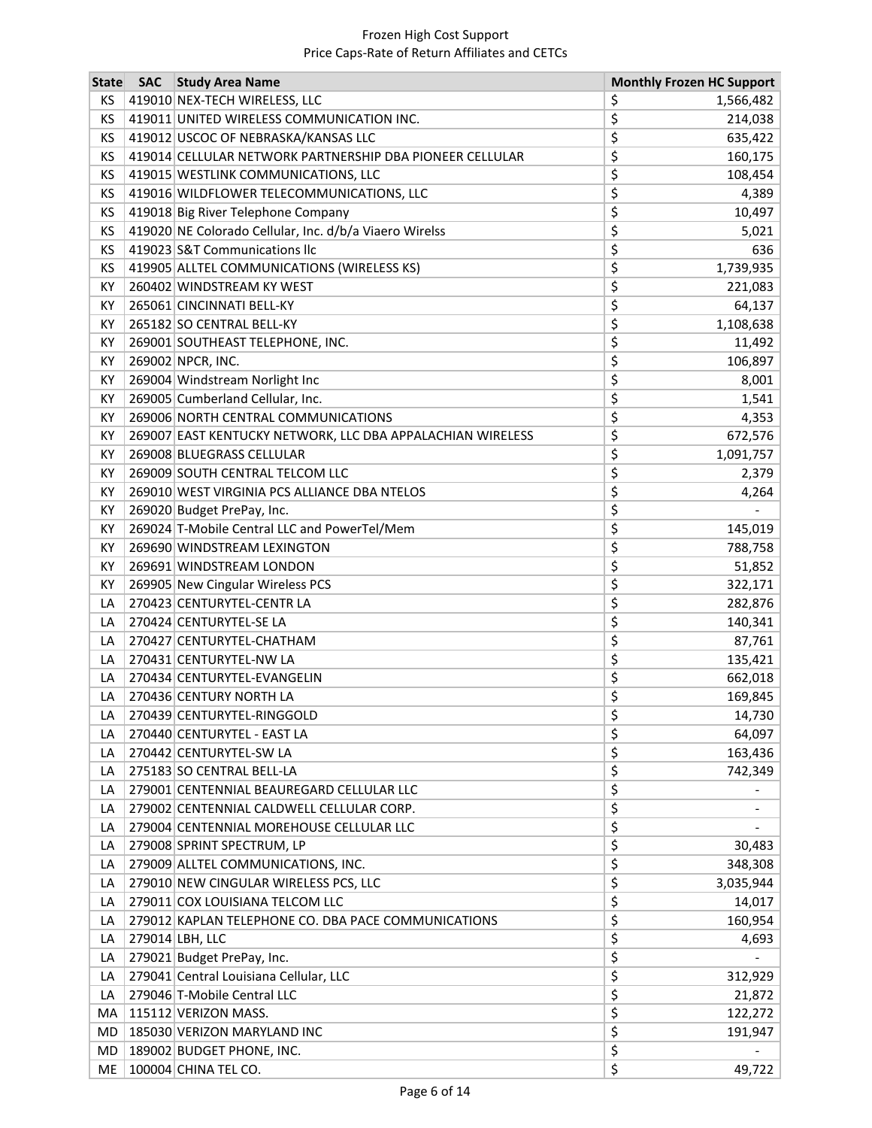| <b>State</b> | <b>SAC</b> | <b>Study Area Name</b>                                     | <b>Monthly Frozen HC Support</b> |
|--------------|------------|------------------------------------------------------------|----------------------------------|
| ΚS           |            | 419010 NEX-TECH WIRELESS, LLC                              | \$<br>1,566,482                  |
| ΚS           |            | 419011 UNITED WIRELESS COMMUNICATION INC.                  | \$<br>214,038                    |
| КS           |            | 419012 USCOC OF NEBRASKA/KANSAS LLC                        | \$<br>635,422                    |
| KS           |            | 419014 CELLULAR NETWORK PARTNERSHIP DBA PIONEER CELLULAR   | \$<br>160,175                    |
| ΚS           |            | 419015 WESTLINK COMMUNICATIONS, LLC                        | \$<br>108,454                    |
| KS           |            | 419016 WILDFLOWER TELECOMMUNICATIONS, LLC                  | \$<br>4,389                      |
| ΚS           |            | 419018 Big River Telephone Company                         | \$<br>10,497                     |
| ΚS           |            | 419020 NE Colorado Cellular, Inc. d/b/a Viaero Wirelss     | \$<br>5,021                      |
| ΚS           |            | 419023 S&T Communications Ilc                              | \$<br>636                        |
| ΚS           |            | 419905 ALLTEL COMMUNICATIONS (WIRELESS KS)                 | \$<br>1,739,935                  |
| КY           |            | 260402 WINDSTREAM KY WEST                                  | \$<br>221,083                    |
| КY           |            | 265061 CINCINNATI BELL-KY                                  | \$<br>64,137                     |
| KY           |            | 265182 SO CENTRAL BELL-KY                                  | \$<br>1,108,638                  |
| КY           |            | 269001 SOUTHEAST TELEPHONE, INC.                           | \$<br>11,492                     |
| КY           |            | 269002 NPCR, INC.                                          | \$<br>106,897                    |
| КY           |            | 269004 Windstream Norlight Inc                             | \$<br>8,001                      |
| КY           |            | 269005 Cumberland Cellular, Inc.                           | \$<br>1,541                      |
| KY           |            | 269006 NORTH CENTRAL COMMUNICATIONS                        | \$<br>4,353                      |
| KY           |            | 269007 EAST KENTUCKY NETWORK, LLC DBA APPALACHIAN WIRELESS | \$<br>672,576                    |
| КY           |            | 269008 BLUEGRASS CELLULAR                                  | \$<br>1,091,757                  |
| КY           |            | 269009 SOUTH CENTRAL TELCOM LLC                            | \$<br>2,379                      |
| КY           |            | 269010 WEST VIRGINIA PCS ALLIANCE DBA NTELOS               | \$<br>4,264                      |
| КY           |            | 269020 Budget PrePay, Inc.                                 | \$                               |
| KY           |            | 269024 T-Mobile Central LLC and PowerTel/Mem               | \$<br>145,019                    |
| KY           |            | 269690 WINDSTREAM LEXINGTON                                | \$<br>788,758                    |
| КY           |            | 269691 WINDSTREAM LONDON                                   | \$<br>51,852                     |
| КY           |            | 269905 New Cingular Wireless PCS                           | \$<br>322,171                    |
| LA           |            | 270423 CENTURYTEL-CENTR LA                                 | \$<br>282,876                    |
| LA           |            | 270424 CENTURYTEL-SE LA                                    | \$<br>140,341                    |
| LA           |            | 270427 CENTURYTEL-CHATHAM                                  | \$<br>87,761                     |
| LA           |            | 270431 CENTURYTEL-NW LA                                    | \$<br>135,421                    |
| LA           |            | 270434 CENTURYTEL-EVANGELIN                                | \$<br>662,018                    |
| LA           |            | 270436 CENTURY NORTH LA                                    | \$<br>169,845                    |
| LA           |            | 270439 CENTURYTEL-RINGGOLD                                 | \$<br>14,730                     |
| LA           |            | 270440 CENTURYTEL - EAST LA                                | \$<br>64,097                     |
| LA           |            | 270442 CENTURYTEL-SW LA                                    | \$<br>163,436                    |
| LA           |            | 275183 SO CENTRAL BELL-LA                                  | \$<br>742,349                    |
| LA           |            | 279001 CENTENNIAL BEAUREGARD CELLULAR LLC                  | \$                               |
| LA           |            | 279002 CENTENNIAL CALDWELL CELLULAR CORP.                  | \$                               |
| LA           |            | 279004 CENTENNIAL MOREHOUSE CELLULAR LLC                   | \$                               |
| LA           |            | 279008 SPRINT SPECTRUM, LP                                 | \$<br>30,483                     |
| LA           |            | 279009 ALLTEL COMMUNICATIONS, INC.                         | \$<br>348,308                    |
| LA           |            | 279010 NEW CINGULAR WIRELESS PCS, LLC                      | \$<br>3,035,944                  |
| LA           |            | 279011 COX LOUISIANA TELCOM LLC                            | \$<br>14,017                     |
| LA           |            | 279012 KAPLAN TELEPHONE CO. DBA PACE COMMUNICATIONS        | \$<br>160,954                    |
| LA           |            | 279014 LBH, LLC                                            | \$<br>4,693                      |
| LA           |            | 279021 Budget PrePay, Inc.                                 | \$                               |
| LA           |            | 279041 Central Louisiana Cellular, LLC                     | \$<br>312,929                    |
| LA           |            | 279046 T-Mobile Central LLC                                | \$<br>21,872                     |
| МA           |            | 115112 VERIZON MASS.                                       | \$<br>122,272                    |
| MD           |            | 185030 VERIZON MARYLAND INC                                | \$<br>191,947                    |
| MD           |            | 189002 BUDGET PHONE, INC.                                  | \$                               |
| ME           |            | 100004 CHINA TEL CO.                                       | \$<br>49,722                     |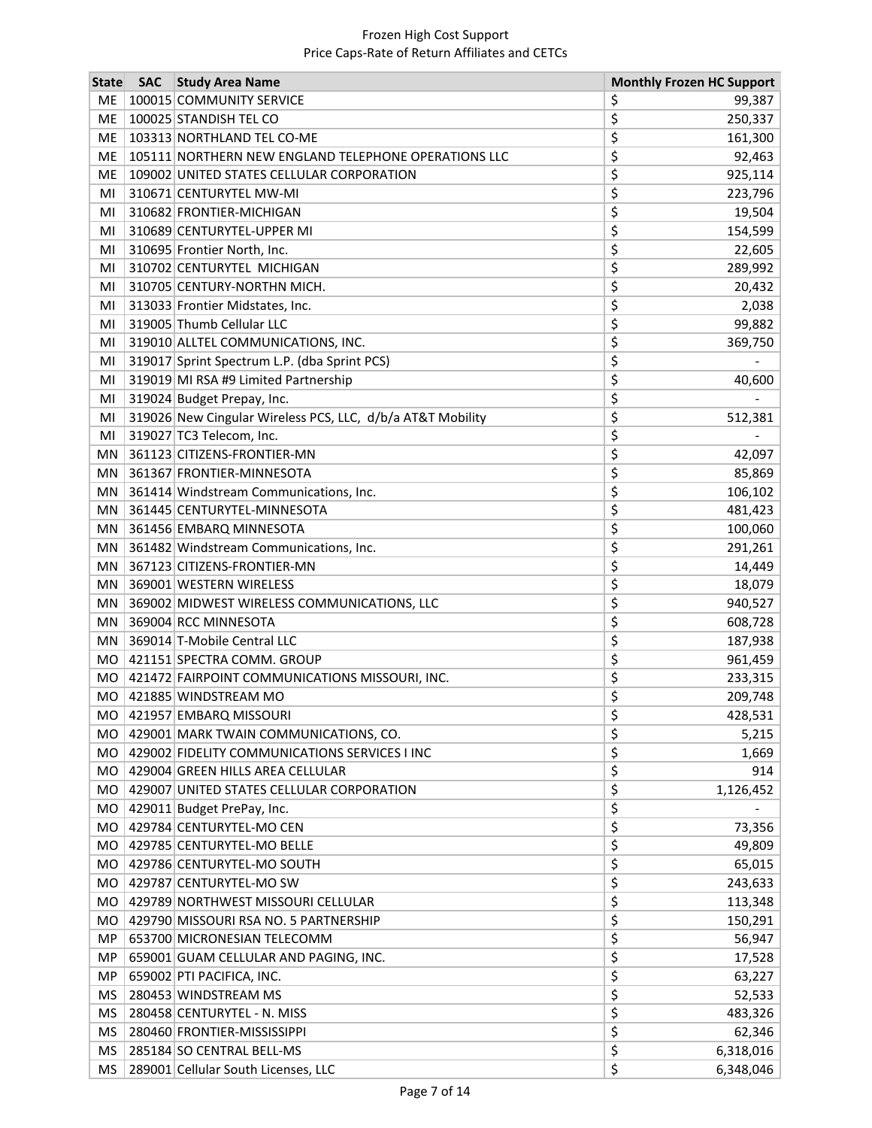| <b>State</b> | <b>SAC</b> | <b>Study Area Name</b>                                     |     | <b>Monthly Frozen HC Support</b> |
|--------------|------------|------------------------------------------------------------|-----|----------------------------------|
| <b>ME</b>    |            | 100015 COMMUNITY SERVICE                                   | \$, | 99,387                           |
| ME           |            | 100025 STANDISH TEL CO                                     | \$  | 250,337                          |
| ME           |            | 103313 NORTHLAND TEL CO-ME                                 | \$  | 161,300                          |
| ME           |            | 105111 NORTHERN NEW ENGLAND TELEPHONE OPERATIONS LLC       | \$  | 92,463                           |
| ME           |            | 109002 UNITED STATES CELLULAR CORPORATION                  | \$  | 925,114                          |
| MI           |            | 310671 CENTURYTEL MW-MI                                    | \$  | 223,796                          |
| MI           |            | 310682 FRONTIER-MICHIGAN                                   | \$  | 19,504                           |
| MI           |            | 310689 CENTURYTEL-UPPER MI                                 | \$  | 154,599                          |
| MI           |            | 310695 Frontier North, Inc.                                | \$  | 22,605                           |
| MI           |            | 310702 CENTURYTEL MICHIGAN                                 | \$  | 289,992                          |
| MI           |            | 310705 CENTURY-NORTHN MICH.                                | \$  | 20,432                           |
| MI           |            | 313033 Frontier Midstates, Inc.                            | \$  | 2,038                            |
| MI           |            | 319005 Thumb Cellular LLC                                  | \$  | 99,882                           |
| MI           |            | 319010 ALLTEL COMMUNICATIONS, INC.                         | \$  | 369,750                          |
| MI           |            | 319017 Sprint Spectrum L.P. (dba Sprint PCS)               | \$  |                                  |
| MI           |            | 319019 MI RSA #9 Limited Partnership                       | \$  | 40,600                           |
| MI           |            | 319024 Budget Prepay, Inc.                                 | \$  |                                  |
| MI           |            | 319026 New Cingular Wireless PCS, LLC, d/b/a AT&T Mobility | \$  | 512,381                          |
| MI           |            | 319027 TC3 Telecom, Inc.                                   | \$  |                                  |
| MN           |            | 361123 CITIZENS-FRONTIER-MN                                | \$  | 42,097                           |
| MN           |            | 361367 FRONTIER-MINNESOTA                                  | \$  | 85,869                           |
| MN           |            | 361414 Windstream Communications, Inc.                     | \$  | 106,102                          |
| MN           |            | 361445 CENTURYTEL-MINNESOTA                                | \$  | 481,423                          |
| MN           |            | 361456 EMBARQ MINNESOTA                                    | \$  | 100,060                          |
| MN           |            | 361482 Windstream Communications, Inc.                     | \$  | 291,261                          |
| MN           |            | 367123 CITIZENS-FRONTIER-MN                                | \$  | 14,449                           |
| MN           |            | 369001 WESTERN WIRELESS                                    | \$  | 18,079                           |
| MN           |            | 369002 MIDWEST WIRELESS COMMUNICATIONS, LLC                | \$  | 940,527                          |
| MN           |            | 369004 RCC MINNESOTA                                       | \$  | 608,728                          |
| MN           |            | 369014 T-Mobile Central LLC                                | \$  | 187,938                          |
| MO           |            | 421151 SPECTRA COMM. GROUP                                 | \$  | 961,459                          |
| <b>MO</b>    |            | 421472 FAIRPOINT COMMUNICATIONS MISSOURI, INC.             | \$  | 233,315                          |
| <b>MO</b>    |            | 421885 WINDSTREAM MO                                       | \$  | 209,748                          |
| MO           |            | 421957 EMBARQ MISSOURI                                     | Ş   | 428,531                          |
| МO           |            | 429001 MARK TWAIN COMMUNICATIONS, CO.                      | \$  | 5,215                            |
| MO           |            | 429002 FIDELITY COMMUNICATIONS SERVICES I INC              | \$  | 1,669                            |
| MO.          |            | 429004 GREEN HILLS AREA CELLULAR                           | \$  | 914                              |
|              |            | MO   429007 UNITED STATES CELLULAR CORPORATION             | \$  | 1,126,452                        |
| <b>MO</b>    |            | 429011 Budget PrePay, Inc.                                 | \$  |                                  |
| <b>MO</b>    |            | 429784 CENTURYTEL-MO CEN                                   | \$  | 73,356                           |
| MO           |            | 429785 CENTURYTEL-MO BELLE                                 | \$  | 49,809                           |
| MO           |            | 429786 CENTURYTEL-MO SOUTH                                 | \$  | 65,015                           |
|              |            | MO   429787 CENTURYTEL-MO SW                               | \$  | 243,633                          |
| MO.          |            | 429789 NORTHWEST MISSOURI CELLULAR                         | \$  | 113,348                          |
| MO           |            | 429790 MISSOURI RSA NO. 5 PARTNERSHIP                      | \$  | 150,291                          |
| MP           |            | 653700 MICRONESIAN TELECOMM                                | \$  | 56,947                           |
| MP           |            | 659001 GUAM CELLULAR AND PAGING, INC.                      | \$  | 17,528                           |
| MP           |            | 659002 PTI PACIFICA, INC.                                  | \$  | 63,227                           |
| MS           |            | 280453 WINDSTREAM MS                                       | \$  | 52,533                           |
| MS           |            | 280458 CENTURYTEL - N. MISS                                | \$  | 483,326                          |
| MS           |            | 280460 FRONTIER-MISSISSIPPI                                | \$  | 62,346                           |
| MS           |            | 285184 SO CENTRAL BELL-MS                                  | \$  | 6,318,016                        |
| MS           |            | 289001 Cellular South Licenses, LLC                        | \$  | 6,348,046                        |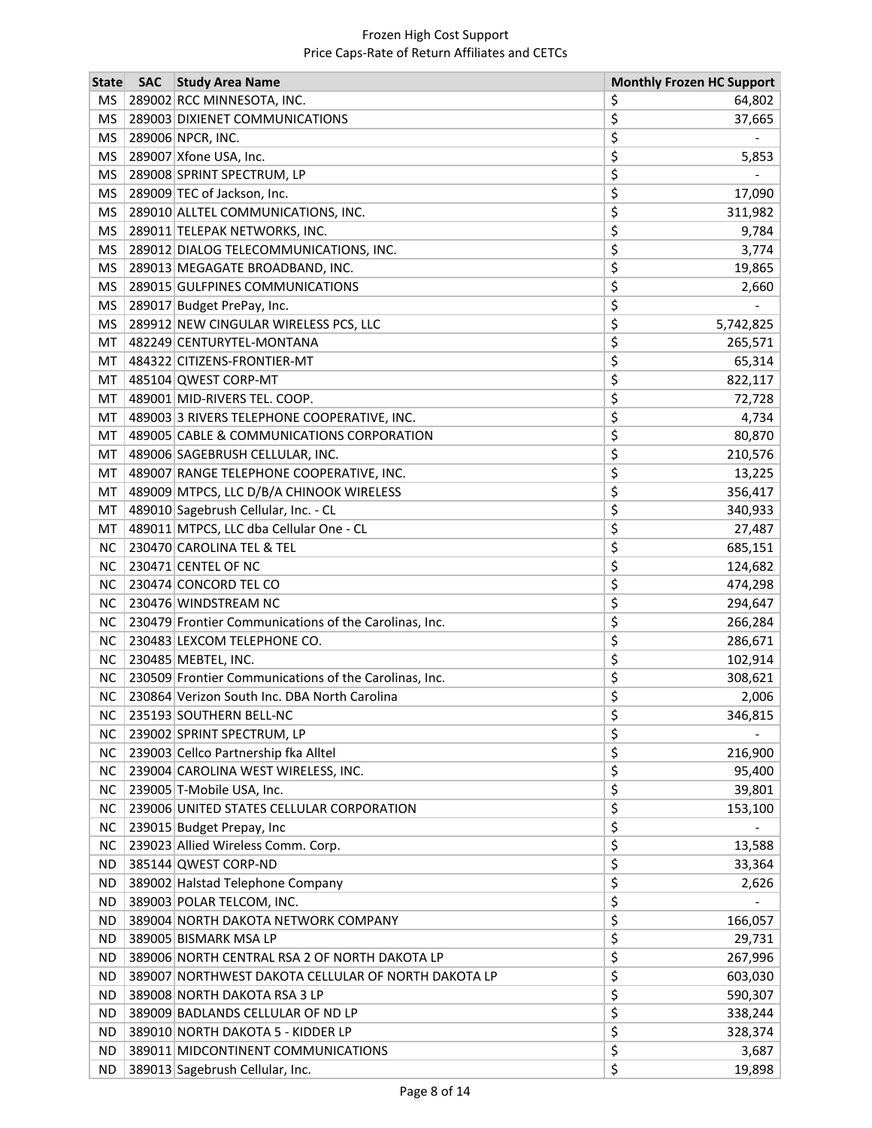| <b>MS</b><br>289002 RCC MINNESOTA, INC.<br>\$<br>64,802<br>\$<br><b>MS</b><br>289003 DIXIENET COMMUNICATIONS<br>37,665<br>\$<br>289006 NPCR, INC.<br><b>MS</b><br>\$<br>289007 Xfone USA, Inc.<br>MS<br>5,853<br>\$<br>289008 SPRINT SPECTRUM, LP<br>MS<br>\$<br>289009 TEC of Jackson, Inc.<br>MS<br>17,090<br>\$<br><b>MS</b><br>289010 ALLTEL COMMUNICATIONS, INC.<br>311,982<br>\$<br>289011 TELEPAK NETWORKS, INC.<br>MS<br>9,784<br>\$<br>MS<br>289012 DIALOG TELECOMMUNICATIONS, INC.<br>3,774<br>\$<br>MS<br>289013 MEGAGATE BROADBAND, INC.<br>19,865<br>\$<br>MS<br>289015 GULFPINES COMMUNICATIONS<br>2,660<br>\$<br><b>MS</b><br>289017 Budget PrePay, Inc.<br>\$<br><b>MS</b><br>289912 NEW CINGULAR WIRELESS PCS, LLC<br>5,742,825<br>\$<br>MT<br>482249 CENTURYTEL-MONTANA<br>265,571<br>\$<br>484322 CITIZENS-FRONTIER-MT<br>65,314<br>MT<br>\$<br>485104 QWEST CORP-MT<br>822,117<br>MT<br>\$<br>489001 MID-RIVERS TEL. COOP.<br>MT<br>72,728<br>\$<br>489003 3 RIVERS TELEPHONE COOPERATIVE, INC.<br>MT<br>4,734<br>\$<br>489005 CABLE & COMMUNICATIONS CORPORATION<br>MT<br>80,870<br>\$<br>489006 SAGEBRUSH CELLULAR, INC.<br>210,576<br>MT<br>\$<br>489007 RANGE TELEPHONE COOPERATIVE, INC.<br>13,225<br>MT<br>\$<br>489009 MTPCS, LLC D/B/A CHINOOK WIRELESS<br>MT<br>356,417<br>\$<br>489010 Sagebrush Cellular, Inc. - CL<br>MT<br>340,933<br>\$<br>489011 MTPCS, LLC dba Cellular One - CL<br>MT<br>27,487<br>\$<br><b>NC</b><br>230470 CAROLINA TEL & TEL<br>685,151<br>\$<br><b>NC</b><br>230471 CENTEL OF NC<br>124,682<br>\$<br><b>NC</b><br>230474 CONCORD TEL CO<br>474,298<br>\$<br><b>NC</b><br>230476 WINDSTREAM NC<br>294,647<br>\$<br>230479 Frontier Communications of the Carolinas, Inc.<br><b>NC</b><br>266,284<br>\$<br><b>NC</b><br>230483 LEXCOM TELEPHONE CO.<br>286,671<br>\$<br><b>NC</b><br>230485 MEBTEL, INC.<br>102,914<br>\$<br>NC<br>230509 Frontier Communications of the Carolinas, Inc.<br>308,621<br>\$<br>230864 Verizon South Inc. DBA North Carolina<br><b>NC</b><br>2,006<br>\$<br>NC 235193 SOUTHERN BELL-NC<br>346,815<br>\$<br><b>NC</b><br>239002 SPRINT SPECTRUM, LP<br>\$<br><b>NC</b><br>239003 Cellco Partnership fka Alltel<br>216,900<br>\$<br><b>NC</b><br>239004 CAROLINA WEST WIRELESS, INC.<br>95,400<br>\$<br>239005 T-Mobile USA, Inc.<br><b>NC</b><br>39,801<br>\$<br>239006 UNITED STATES CELLULAR CORPORATION<br><b>NC</b><br>153,100<br>\$<br><b>NC</b><br>239015 Budget Prepay, Inc.<br>\$<br>239023 Allied Wireless Comm. Corp.<br><b>NC</b><br>13,588<br>\$<br>385144 QWEST CORP-ND<br>33,364<br>ND.<br>\$<br>389002 Halstad Telephone Company<br>ND.<br>2,626<br>\$<br>389003 POLAR TELCOM, INC.<br>ND.<br>\$<br>166,057<br>ND.<br>389004 NORTH DAKOTA NETWORK COMPANY<br>\$<br>389005 BISMARK MSA LP<br><b>ND</b><br>29,731<br>\$<br>389006 NORTH CENTRAL RSA 2 OF NORTH DAKOTA LP<br>267,996<br><b>ND</b><br>\$<br>389007 NORTHWEST DAKOTA CELLULAR OF NORTH DAKOTA LP<br>ND.<br>603,030<br>\$<br>389008 NORTH DAKOTA RSA 3 LP<br>590,307<br>ND.<br>\$<br>389009 BADLANDS CELLULAR OF ND LP<br>338,244<br>ND.<br>\$<br>389010 NORTH DAKOTA 5 - KIDDER LP<br>ND.<br>328,374<br>\$<br>ND.<br>389011 MIDCONTINENT COMMUNICATIONS<br>3,687<br>389013 Sagebrush Cellular, Inc. | <b>State</b> | <b>SAC</b> Study Area Name | <b>Monthly Frozen HC Support</b> |
|------------------------------------------------------------------------------------------------------------------------------------------------------------------------------------------------------------------------------------------------------------------------------------------------------------------------------------------------------------------------------------------------------------------------------------------------------------------------------------------------------------------------------------------------------------------------------------------------------------------------------------------------------------------------------------------------------------------------------------------------------------------------------------------------------------------------------------------------------------------------------------------------------------------------------------------------------------------------------------------------------------------------------------------------------------------------------------------------------------------------------------------------------------------------------------------------------------------------------------------------------------------------------------------------------------------------------------------------------------------------------------------------------------------------------------------------------------------------------------------------------------------------------------------------------------------------------------------------------------------------------------------------------------------------------------------------------------------------------------------------------------------------------------------------------------------------------------------------------------------------------------------------------------------------------------------------------------------------------------------------------------------------------------------------------------------------------------------------------------------------------------------------------------------------------------------------------------------------------------------------------------------------------------------------------------------------------------------------------------------------------------------------------------------------------------------------------------------------------------------------------------------------------------------------------------------------------------------------------------------------------------------------------------------------------------------------------------------------------------------------------------------------------------------------------------------------------------------------------------------------------------------------------------------------------------------------------------------------------------------------------------------------------------------------------------------------------------------------------------------------------------------------------------------------------------------------------------------------------------------------------------------|--------------|----------------------------|----------------------------------|
|                                                                                                                                                                                                                                                                                                                                                                                                                                                                                                                                                                                                                                                                                                                                                                                                                                                                                                                                                                                                                                                                                                                                                                                                                                                                                                                                                                                                                                                                                                                                                                                                                                                                                                                                                                                                                                                                                                                                                                                                                                                                                                                                                                                                                                                                                                                                                                                                                                                                                                                                                                                                                                                                                                                                                                                                                                                                                                                                                                                                                                                                                                                                                                                                                                                                  |              |                            |                                  |
|                                                                                                                                                                                                                                                                                                                                                                                                                                                                                                                                                                                                                                                                                                                                                                                                                                                                                                                                                                                                                                                                                                                                                                                                                                                                                                                                                                                                                                                                                                                                                                                                                                                                                                                                                                                                                                                                                                                                                                                                                                                                                                                                                                                                                                                                                                                                                                                                                                                                                                                                                                                                                                                                                                                                                                                                                                                                                                                                                                                                                                                                                                                                                                                                                                                                  |              |                            |                                  |
|                                                                                                                                                                                                                                                                                                                                                                                                                                                                                                                                                                                                                                                                                                                                                                                                                                                                                                                                                                                                                                                                                                                                                                                                                                                                                                                                                                                                                                                                                                                                                                                                                                                                                                                                                                                                                                                                                                                                                                                                                                                                                                                                                                                                                                                                                                                                                                                                                                                                                                                                                                                                                                                                                                                                                                                                                                                                                                                                                                                                                                                                                                                                                                                                                                                                  |              |                            |                                  |
|                                                                                                                                                                                                                                                                                                                                                                                                                                                                                                                                                                                                                                                                                                                                                                                                                                                                                                                                                                                                                                                                                                                                                                                                                                                                                                                                                                                                                                                                                                                                                                                                                                                                                                                                                                                                                                                                                                                                                                                                                                                                                                                                                                                                                                                                                                                                                                                                                                                                                                                                                                                                                                                                                                                                                                                                                                                                                                                                                                                                                                                                                                                                                                                                                                                                  |              |                            |                                  |
|                                                                                                                                                                                                                                                                                                                                                                                                                                                                                                                                                                                                                                                                                                                                                                                                                                                                                                                                                                                                                                                                                                                                                                                                                                                                                                                                                                                                                                                                                                                                                                                                                                                                                                                                                                                                                                                                                                                                                                                                                                                                                                                                                                                                                                                                                                                                                                                                                                                                                                                                                                                                                                                                                                                                                                                                                                                                                                                                                                                                                                                                                                                                                                                                                                                                  |              |                            |                                  |
|                                                                                                                                                                                                                                                                                                                                                                                                                                                                                                                                                                                                                                                                                                                                                                                                                                                                                                                                                                                                                                                                                                                                                                                                                                                                                                                                                                                                                                                                                                                                                                                                                                                                                                                                                                                                                                                                                                                                                                                                                                                                                                                                                                                                                                                                                                                                                                                                                                                                                                                                                                                                                                                                                                                                                                                                                                                                                                                                                                                                                                                                                                                                                                                                                                                                  |              |                            |                                  |
|                                                                                                                                                                                                                                                                                                                                                                                                                                                                                                                                                                                                                                                                                                                                                                                                                                                                                                                                                                                                                                                                                                                                                                                                                                                                                                                                                                                                                                                                                                                                                                                                                                                                                                                                                                                                                                                                                                                                                                                                                                                                                                                                                                                                                                                                                                                                                                                                                                                                                                                                                                                                                                                                                                                                                                                                                                                                                                                                                                                                                                                                                                                                                                                                                                                                  |              |                            |                                  |
|                                                                                                                                                                                                                                                                                                                                                                                                                                                                                                                                                                                                                                                                                                                                                                                                                                                                                                                                                                                                                                                                                                                                                                                                                                                                                                                                                                                                                                                                                                                                                                                                                                                                                                                                                                                                                                                                                                                                                                                                                                                                                                                                                                                                                                                                                                                                                                                                                                                                                                                                                                                                                                                                                                                                                                                                                                                                                                                                                                                                                                                                                                                                                                                                                                                                  |              |                            |                                  |
|                                                                                                                                                                                                                                                                                                                                                                                                                                                                                                                                                                                                                                                                                                                                                                                                                                                                                                                                                                                                                                                                                                                                                                                                                                                                                                                                                                                                                                                                                                                                                                                                                                                                                                                                                                                                                                                                                                                                                                                                                                                                                                                                                                                                                                                                                                                                                                                                                                                                                                                                                                                                                                                                                                                                                                                                                                                                                                                                                                                                                                                                                                                                                                                                                                                                  |              |                            |                                  |
|                                                                                                                                                                                                                                                                                                                                                                                                                                                                                                                                                                                                                                                                                                                                                                                                                                                                                                                                                                                                                                                                                                                                                                                                                                                                                                                                                                                                                                                                                                                                                                                                                                                                                                                                                                                                                                                                                                                                                                                                                                                                                                                                                                                                                                                                                                                                                                                                                                                                                                                                                                                                                                                                                                                                                                                                                                                                                                                                                                                                                                                                                                                                                                                                                                                                  |              |                            |                                  |
|                                                                                                                                                                                                                                                                                                                                                                                                                                                                                                                                                                                                                                                                                                                                                                                                                                                                                                                                                                                                                                                                                                                                                                                                                                                                                                                                                                                                                                                                                                                                                                                                                                                                                                                                                                                                                                                                                                                                                                                                                                                                                                                                                                                                                                                                                                                                                                                                                                                                                                                                                                                                                                                                                                                                                                                                                                                                                                                                                                                                                                                                                                                                                                                                                                                                  |              |                            |                                  |
|                                                                                                                                                                                                                                                                                                                                                                                                                                                                                                                                                                                                                                                                                                                                                                                                                                                                                                                                                                                                                                                                                                                                                                                                                                                                                                                                                                                                                                                                                                                                                                                                                                                                                                                                                                                                                                                                                                                                                                                                                                                                                                                                                                                                                                                                                                                                                                                                                                                                                                                                                                                                                                                                                                                                                                                                                                                                                                                                                                                                                                                                                                                                                                                                                                                                  |              |                            |                                  |
|                                                                                                                                                                                                                                                                                                                                                                                                                                                                                                                                                                                                                                                                                                                                                                                                                                                                                                                                                                                                                                                                                                                                                                                                                                                                                                                                                                                                                                                                                                                                                                                                                                                                                                                                                                                                                                                                                                                                                                                                                                                                                                                                                                                                                                                                                                                                                                                                                                                                                                                                                                                                                                                                                                                                                                                                                                                                                                                                                                                                                                                                                                                                                                                                                                                                  |              |                            |                                  |
|                                                                                                                                                                                                                                                                                                                                                                                                                                                                                                                                                                                                                                                                                                                                                                                                                                                                                                                                                                                                                                                                                                                                                                                                                                                                                                                                                                                                                                                                                                                                                                                                                                                                                                                                                                                                                                                                                                                                                                                                                                                                                                                                                                                                                                                                                                                                                                                                                                                                                                                                                                                                                                                                                                                                                                                                                                                                                                                                                                                                                                                                                                                                                                                                                                                                  |              |                            |                                  |
|                                                                                                                                                                                                                                                                                                                                                                                                                                                                                                                                                                                                                                                                                                                                                                                                                                                                                                                                                                                                                                                                                                                                                                                                                                                                                                                                                                                                                                                                                                                                                                                                                                                                                                                                                                                                                                                                                                                                                                                                                                                                                                                                                                                                                                                                                                                                                                                                                                                                                                                                                                                                                                                                                                                                                                                                                                                                                                                                                                                                                                                                                                                                                                                                                                                                  |              |                            |                                  |
|                                                                                                                                                                                                                                                                                                                                                                                                                                                                                                                                                                                                                                                                                                                                                                                                                                                                                                                                                                                                                                                                                                                                                                                                                                                                                                                                                                                                                                                                                                                                                                                                                                                                                                                                                                                                                                                                                                                                                                                                                                                                                                                                                                                                                                                                                                                                                                                                                                                                                                                                                                                                                                                                                                                                                                                                                                                                                                                                                                                                                                                                                                                                                                                                                                                                  |              |                            |                                  |
|                                                                                                                                                                                                                                                                                                                                                                                                                                                                                                                                                                                                                                                                                                                                                                                                                                                                                                                                                                                                                                                                                                                                                                                                                                                                                                                                                                                                                                                                                                                                                                                                                                                                                                                                                                                                                                                                                                                                                                                                                                                                                                                                                                                                                                                                                                                                                                                                                                                                                                                                                                                                                                                                                                                                                                                                                                                                                                                                                                                                                                                                                                                                                                                                                                                                  |              |                            |                                  |
|                                                                                                                                                                                                                                                                                                                                                                                                                                                                                                                                                                                                                                                                                                                                                                                                                                                                                                                                                                                                                                                                                                                                                                                                                                                                                                                                                                                                                                                                                                                                                                                                                                                                                                                                                                                                                                                                                                                                                                                                                                                                                                                                                                                                                                                                                                                                                                                                                                                                                                                                                                                                                                                                                                                                                                                                                                                                                                                                                                                                                                                                                                                                                                                                                                                                  |              |                            |                                  |
|                                                                                                                                                                                                                                                                                                                                                                                                                                                                                                                                                                                                                                                                                                                                                                                                                                                                                                                                                                                                                                                                                                                                                                                                                                                                                                                                                                                                                                                                                                                                                                                                                                                                                                                                                                                                                                                                                                                                                                                                                                                                                                                                                                                                                                                                                                                                                                                                                                                                                                                                                                                                                                                                                                                                                                                                                                                                                                                                                                                                                                                                                                                                                                                                                                                                  |              |                            |                                  |
|                                                                                                                                                                                                                                                                                                                                                                                                                                                                                                                                                                                                                                                                                                                                                                                                                                                                                                                                                                                                                                                                                                                                                                                                                                                                                                                                                                                                                                                                                                                                                                                                                                                                                                                                                                                                                                                                                                                                                                                                                                                                                                                                                                                                                                                                                                                                                                                                                                                                                                                                                                                                                                                                                                                                                                                                                                                                                                                                                                                                                                                                                                                                                                                                                                                                  |              |                            |                                  |
|                                                                                                                                                                                                                                                                                                                                                                                                                                                                                                                                                                                                                                                                                                                                                                                                                                                                                                                                                                                                                                                                                                                                                                                                                                                                                                                                                                                                                                                                                                                                                                                                                                                                                                                                                                                                                                                                                                                                                                                                                                                                                                                                                                                                                                                                                                                                                                                                                                                                                                                                                                                                                                                                                                                                                                                                                                                                                                                                                                                                                                                                                                                                                                                                                                                                  |              |                            |                                  |
|                                                                                                                                                                                                                                                                                                                                                                                                                                                                                                                                                                                                                                                                                                                                                                                                                                                                                                                                                                                                                                                                                                                                                                                                                                                                                                                                                                                                                                                                                                                                                                                                                                                                                                                                                                                                                                                                                                                                                                                                                                                                                                                                                                                                                                                                                                                                                                                                                                                                                                                                                                                                                                                                                                                                                                                                                                                                                                                                                                                                                                                                                                                                                                                                                                                                  |              |                            |                                  |
|                                                                                                                                                                                                                                                                                                                                                                                                                                                                                                                                                                                                                                                                                                                                                                                                                                                                                                                                                                                                                                                                                                                                                                                                                                                                                                                                                                                                                                                                                                                                                                                                                                                                                                                                                                                                                                                                                                                                                                                                                                                                                                                                                                                                                                                                                                                                                                                                                                                                                                                                                                                                                                                                                                                                                                                                                                                                                                                                                                                                                                                                                                                                                                                                                                                                  |              |                            |                                  |
|                                                                                                                                                                                                                                                                                                                                                                                                                                                                                                                                                                                                                                                                                                                                                                                                                                                                                                                                                                                                                                                                                                                                                                                                                                                                                                                                                                                                                                                                                                                                                                                                                                                                                                                                                                                                                                                                                                                                                                                                                                                                                                                                                                                                                                                                                                                                                                                                                                                                                                                                                                                                                                                                                                                                                                                                                                                                                                                                                                                                                                                                                                                                                                                                                                                                  |              |                            |                                  |
|                                                                                                                                                                                                                                                                                                                                                                                                                                                                                                                                                                                                                                                                                                                                                                                                                                                                                                                                                                                                                                                                                                                                                                                                                                                                                                                                                                                                                                                                                                                                                                                                                                                                                                                                                                                                                                                                                                                                                                                                                                                                                                                                                                                                                                                                                                                                                                                                                                                                                                                                                                                                                                                                                                                                                                                                                                                                                                                                                                                                                                                                                                                                                                                                                                                                  |              |                            |                                  |
|                                                                                                                                                                                                                                                                                                                                                                                                                                                                                                                                                                                                                                                                                                                                                                                                                                                                                                                                                                                                                                                                                                                                                                                                                                                                                                                                                                                                                                                                                                                                                                                                                                                                                                                                                                                                                                                                                                                                                                                                                                                                                                                                                                                                                                                                                                                                                                                                                                                                                                                                                                                                                                                                                                                                                                                                                                                                                                                                                                                                                                                                                                                                                                                                                                                                  |              |                            |                                  |
|                                                                                                                                                                                                                                                                                                                                                                                                                                                                                                                                                                                                                                                                                                                                                                                                                                                                                                                                                                                                                                                                                                                                                                                                                                                                                                                                                                                                                                                                                                                                                                                                                                                                                                                                                                                                                                                                                                                                                                                                                                                                                                                                                                                                                                                                                                                                                                                                                                                                                                                                                                                                                                                                                                                                                                                                                                                                                                                                                                                                                                                                                                                                                                                                                                                                  |              |                            |                                  |
|                                                                                                                                                                                                                                                                                                                                                                                                                                                                                                                                                                                                                                                                                                                                                                                                                                                                                                                                                                                                                                                                                                                                                                                                                                                                                                                                                                                                                                                                                                                                                                                                                                                                                                                                                                                                                                                                                                                                                                                                                                                                                                                                                                                                                                                                                                                                                                                                                                                                                                                                                                                                                                                                                                                                                                                                                                                                                                                                                                                                                                                                                                                                                                                                                                                                  |              |                            |                                  |
|                                                                                                                                                                                                                                                                                                                                                                                                                                                                                                                                                                                                                                                                                                                                                                                                                                                                                                                                                                                                                                                                                                                                                                                                                                                                                                                                                                                                                                                                                                                                                                                                                                                                                                                                                                                                                                                                                                                                                                                                                                                                                                                                                                                                                                                                                                                                                                                                                                                                                                                                                                                                                                                                                                                                                                                                                                                                                                                                                                                                                                                                                                                                                                                                                                                                  |              |                            |                                  |
|                                                                                                                                                                                                                                                                                                                                                                                                                                                                                                                                                                                                                                                                                                                                                                                                                                                                                                                                                                                                                                                                                                                                                                                                                                                                                                                                                                                                                                                                                                                                                                                                                                                                                                                                                                                                                                                                                                                                                                                                                                                                                                                                                                                                                                                                                                                                                                                                                                                                                                                                                                                                                                                                                                                                                                                                                                                                                                                                                                                                                                                                                                                                                                                                                                                                  |              |                            |                                  |
|                                                                                                                                                                                                                                                                                                                                                                                                                                                                                                                                                                                                                                                                                                                                                                                                                                                                                                                                                                                                                                                                                                                                                                                                                                                                                                                                                                                                                                                                                                                                                                                                                                                                                                                                                                                                                                                                                                                                                                                                                                                                                                                                                                                                                                                                                                                                                                                                                                                                                                                                                                                                                                                                                                                                                                                                                                                                                                                                                                                                                                                                                                                                                                                                                                                                  |              |                            |                                  |
|                                                                                                                                                                                                                                                                                                                                                                                                                                                                                                                                                                                                                                                                                                                                                                                                                                                                                                                                                                                                                                                                                                                                                                                                                                                                                                                                                                                                                                                                                                                                                                                                                                                                                                                                                                                                                                                                                                                                                                                                                                                                                                                                                                                                                                                                                                                                                                                                                                                                                                                                                                                                                                                                                                                                                                                                                                                                                                                                                                                                                                                                                                                                                                                                                                                                  |              |                            |                                  |
|                                                                                                                                                                                                                                                                                                                                                                                                                                                                                                                                                                                                                                                                                                                                                                                                                                                                                                                                                                                                                                                                                                                                                                                                                                                                                                                                                                                                                                                                                                                                                                                                                                                                                                                                                                                                                                                                                                                                                                                                                                                                                                                                                                                                                                                                                                                                                                                                                                                                                                                                                                                                                                                                                                                                                                                                                                                                                                                                                                                                                                                                                                                                                                                                                                                                  |              |                            |                                  |
|                                                                                                                                                                                                                                                                                                                                                                                                                                                                                                                                                                                                                                                                                                                                                                                                                                                                                                                                                                                                                                                                                                                                                                                                                                                                                                                                                                                                                                                                                                                                                                                                                                                                                                                                                                                                                                                                                                                                                                                                                                                                                                                                                                                                                                                                                                                                                                                                                                                                                                                                                                                                                                                                                                                                                                                                                                                                                                                                                                                                                                                                                                                                                                                                                                                                  |              |                            |                                  |
|                                                                                                                                                                                                                                                                                                                                                                                                                                                                                                                                                                                                                                                                                                                                                                                                                                                                                                                                                                                                                                                                                                                                                                                                                                                                                                                                                                                                                                                                                                                                                                                                                                                                                                                                                                                                                                                                                                                                                                                                                                                                                                                                                                                                                                                                                                                                                                                                                                                                                                                                                                                                                                                                                                                                                                                                                                                                                                                                                                                                                                                                                                                                                                                                                                                                  |              |                            |                                  |
|                                                                                                                                                                                                                                                                                                                                                                                                                                                                                                                                                                                                                                                                                                                                                                                                                                                                                                                                                                                                                                                                                                                                                                                                                                                                                                                                                                                                                                                                                                                                                                                                                                                                                                                                                                                                                                                                                                                                                                                                                                                                                                                                                                                                                                                                                                                                                                                                                                                                                                                                                                                                                                                                                                                                                                                                                                                                                                                                                                                                                                                                                                                                                                                                                                                                  |              |                            |                                  |
|                                                                                                                                                                                                                                                                                                                                                                                                                                                                                                                                                                                                                                                                                                                                                                                                                                                                                                                                                                                                                                                                                                                                                                                                                                                                                                                                                                                                                                                                                                                                                                                                                                                                                                                                                                                                                                                                                                                                                                                                                                                                                                                                                                                                                                                                                                                                                                                                                                                                                                                                                                                                                                                                                                                                                                                                                                                                                                                                                                                                                                                                                                                                                                                                                                                                  |              |                            |                                  |
|                                                                                                                                                                                                                                                                                                                                                                                                                                                                                                                                                                                                                                                                                                                                                                                                                                                                                                                                                                                                                                                                                                                                                                                                                                                                                                                                                                                                                                                                                                                                                                                                                                                                                                                                                                                                                                                                                                                                                                                                                                                                                                                                                                                                                                                                                                                                                                                                                                                                                                                                                                                                                                                                                                                                                                                                                                                                                                                                                                                                                                                                                                                                                                                                                                                                  |              |                            |                                  |
|                                                                                                                                                                                                                                                                                                                                                                                                                                                                                                                                                                                                                                                                                                                                                                                                                                                                                                                                                                                                                                                                                                                                                                                                                                                                                                                                                                                                                                                                                                                                                                                                                                                                                                                                                                                                                                                                                                                                                                                                                                                                                                                                                                                                                                                                                                                                                                                                                                                                                                                                                                                                                                                                                                                                                                                                                                                                                                                                                                                                                                                                                                                                                                                                                                                                  |              |                            |                                  |
|                                                                                                                                                                                                                                                                                                                                                                                                                                                                                                                                                                                                                                                                                                                                                                                                                                                                                                                                                                                                                                                                                                                                                                                                                                                                                                                                                                                                                                                                                                                                                                                                                                                                                                                                                                                                                                                                                                                                                                                                                                                                                                                                                                                                                                                                                                                                                                                                                                                                                                                                                                                                                                                                                                                                                                                                                                                                                                                                                                                                                                                                                                                                                                                                                                                                  |              |                            |                                  |
|                                                                                                                                                                                                                                                                                                                                                                                                                                                                                                                                                                                                                                                                                                                                                                                                                                                                                                                                                                                                                                                                                                                                                                                                                                                                                                                                                                                                                                                                                                                                                                                                                                                                                                                                                                                                                                                                                                                                                                                                                                                                                                                                                                                                                                                                                                                                                                                                                                                                                                                                                                                                                                                                                                                                                                                                                                                                                                                                                                                                                                                                                                                                                                                                                                                                  |              |                            |                                  |
|                                                                                                                                                                                                                                                                                                                                                                                                                                                                                                                                                                                                                                                                                                                                                                                                                                                                                                                                                                                                                                                                                                                                                                                                                                                                                                                                                                                                                                                                                                                                                                                                                                                                                                                                                                                                                                                                                                                                                                                                                                                                                                                                                                                                                                                                                                                                                                                                                                                                                                                                                                                                                                                                                                                                                                                                                                                                                                                                                                                                                                                                                                                                                                                                                                                                  |              |                            |                                  |
|                                                                                                                                                                                                                                                                                                                                                                                                                                                                                                                                                                                                                                                                                                                                                                                                                                                                                                                                                                                                                                                                                                                                                                                                                                                                                                                                                                                                                                                                                                                                                                                                                                                                                                                                                                                                                                                                                                                                                                                                                                                                                                                                                                                                                                                                                                                                                                                                                                                                                                                                                                                                                                                                                                                                                                                                                                                                                                                                                                                                                                                                                                                                                                                                                                                                  |              |                            |                                  |
|                                                                                                                                                                                                                                                                                                                                                                                                                                                                                                                                                                                                                                                                                                                                                                                                                                                                                                                                                                                                                                                                                                                                                                                                                                                                                                                                                                                                                                                                                                                                                                                                                                                                                                                                                                                                                                                                                                                                                                                                                                                                                                                                                                                                                                                                                                                                                                                                                                                                                                                                                                                                                                                                                                                                                                                                                                                                                                                                                                                                                                                                                                                                                                                                                                                                  |              |                            |                                  |
|                                                                                                                                                                                                                                                                                                                                                                                                                                                                                                                                                                                                                                                                                                                                                                                                                                                                                                                                                                                                                                                                                                                                                                                                                                                                                                                                                                                                                                                                                                                                                                                                                                                                                                                                                                                                                                                                                                                                                                                                                                                                                                                                                                                                                                                                                                                                                                                                                                                                                                                                                                                                                                                                                                                                                                                                                                                                                                                                                                                                                                                                                                                                                                                                                                                                  |              |                            |                                  |
|                                                                                                                                                                                                                                                                                                                                                                                                                                                                                                                                                                                                                                                                                                                                                                                                                                                                                                                                                                                                                                                                                                                                                                                                                                                                                                                                                                                                                                                                                                                                                                                                                                                                                                                                                                                                                                                                                                                                                                                                                                                                                                                                                                                                                                                                                                                                                                                                                                                                                                                                                                                                                                                                                                                                                                                                                                                                                                                                                                                                                                                                                                                                                                                                                                                                  |              |                            |                                  |
|                                                                                                                                                                                                                                                                                                                                                                                                                                                                                                                                                                                                                                                                                                                                                                                                                                                                                                                                                                                                                                                                                                                                                                                                                                                                                                                                                                                                                                                                                                                                                                                                                                                                                                                                                                                                                                                                                                                                                                                                                                                                                                                                                                                                                                                                                                                                                                                                                                                                                                                                                                                                                                                                                                                                                                                                                                                                                                                                                                                                                                                                                                                                                                                                                                                                  |              |                            |                                  |
|                                                                                                                                                                                                                                                                                                                                                                                                                                                                                                                                                                                                                                                                                                                                                                                                                                                                                                                                                                                                                                                                                                                                                                                                                                                                                                                                                                                                                                                                                                                                                                                                                                                                                                                                                                                                                                                                                                                                                                                                                                                                                                                                                                                                                                                                                                                                                                                                                                                                                                                                                                                                                                                                                                                                                                                                                                                                                                                                                                                                                                                                                                                                                                                                                                                                  |              |                            |                                  |
|                                                                                                                                                                                                                                                                                                                                                                                                                                                                                                                                                                                                                                                                                                                                                                                                                                                                                                                                                                                                                                                                                                                                                                                                                                                                                                                                                                                                                                                                                                                                                                                                                                                                                                                                                                                                                                                                                                                                                                                                                                                                                                                                                                                                                                                                                                                                                                                                                                                                                                                                                                                                                                                                                                                                                                                                                                                                                                                                                                                                                                                                                                                                                                                                                                                                  |              |                            |                                  |
|                                                                                                                                                                                                                                                                                                                                                                                                                                                                                                                                                                                                                                                                                                                                                                                                                                                                                                                                                                                                                                                                                                                                                                                                                                                                                                                                                                                                                                                                                                                                                                                                                                                                                                                                                                                                                                                                                                                                                                                                                                                                                                                                                                                                                                                                                                                                                                                                                                                                                                                                                                                                                                                                                                                                                                                                                                                                                                                                                                                                                                                                                                                                                                                                                                                                  |              |                            |                                  |
|                                                                                                                                                                                                                                                                                                                                                                                                                                                                                                                                                                                                                                                                                                                                                                                                                                                                                                                                                                                                                                                                                                                                                                                                                                                                                                                                                                                                                                                                                                                                                                                                                                                                                                                                                                                                                                                                                                                                                                                                                                                                                                                                                                                                                                                                                                                                                                                                                                                                                                                                                                                                                                                                                                                                                                                                                                                                                                                                                                                                                                                                                                                                                                                                                                                                  |              |                            |                                  |
|                                                                                                                                                                                                                                                                                                                                                                                                                                                                                                                                                                                                                                                                                                                                                                                                                                                                                                                                                                                                                                                                                                                                                                                                                                                                                                                                                                                                                                                                                                                                                                                                                                                                                                                                                                                                                                                                                                                                                                                                                                                                                                                                                                                                                                                                                                                                                                                                                                                                                                                                                                                                                                                                                                                                                                                                                                                                                                                                                                                                                                                                                                                                                                                                                                                                  |              |                            |                                  |
|                                                                                                                                                                                                                                                                                                                                                                                                                                                                                                                                                                                                                                                                                                                                                                                                                                                                                                                                                                                                                                                                                                                                                                                                                                                                                                                                                                                                                                                                                                                                                                                                                                                                                                                                                                                                                                                                                                                                                                                                                                                                                                                                                                                                                                                                                                                                                                                                                                                                                                                                                                                                                                                                                                                                                                                                                                                                                                                                                                                                                                                                                                                                                                                                                                                                  | ND.          |                            | \$<br>19,898                     |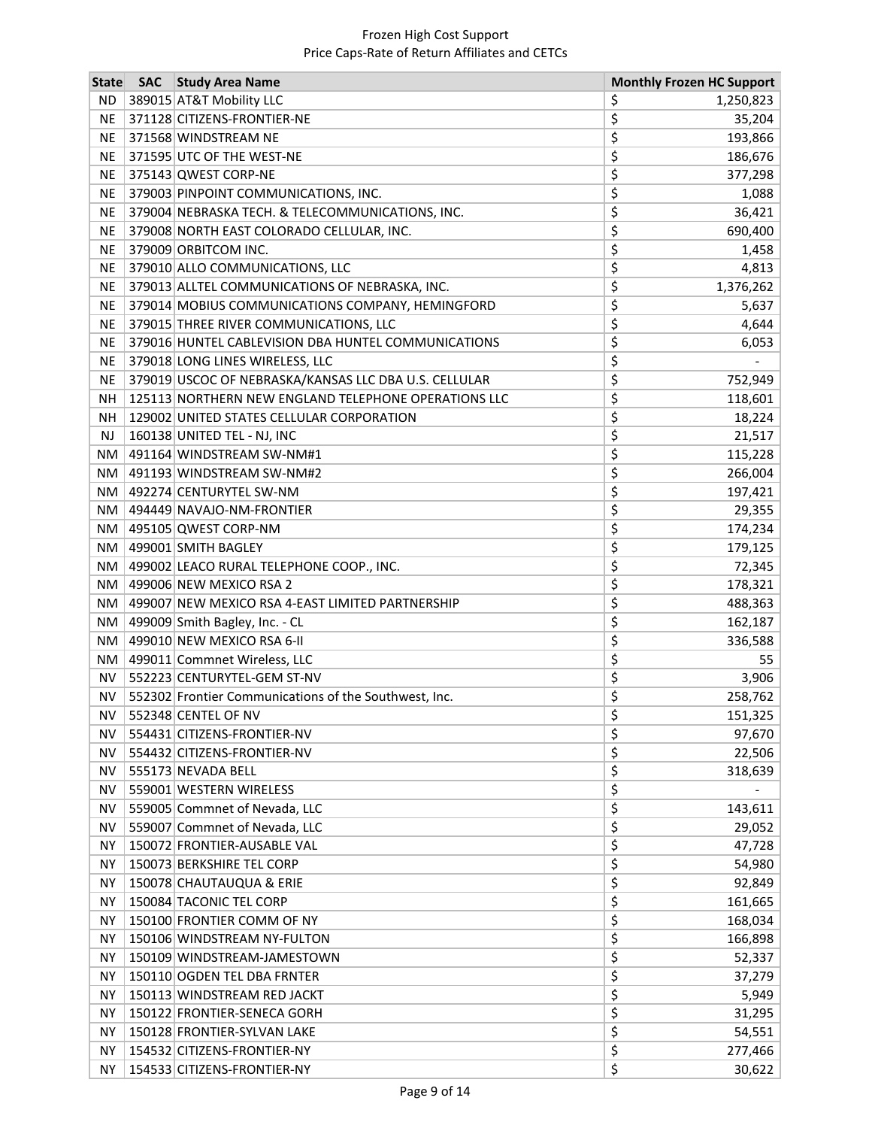| <b>State</b> | <b>SAC</b> | <b>Study Area Name</b>                                |    | <b>Monthly Frozen HC Support</b> |
|--------------|------------|-------------------------------------------------------|----|----------------------------------|
| <b>ND</b>    |            | 389015 AT&T Mobility LLC                              | \$ | 1,250,823                        |
| <b>NE</b>    |            | 371128 CITIZENS-FRONTIER-NE                           | \$ | 35,204                           |
| <b>NE</b>    |            | 371568 WINDSTREAM NE                                  | \$ | 193,866                          |
| <b>NE</b>    |            | 371595 UTC OF THE WEST-NE                             | \$ | 186,676                          |
| NE.          |            | 375143 QWEST CORP-NE                                  | \$ | 377,298                          |
| <b>NE</b>    |            | 379003 PINPOINT COMMUNICATIONS, INC.                  | \$ | 1,088                            |
| <b>NE</b>    |            | 379004 NEBRASKA TECH. & TELECOMMUNICATIONS, INC.      | \$ | 36,421                           |
| <b>NE</b>    |            | 379008 NORTH EAST COLORADO CELLULAR, INC.             | \$ | 690,400                          |
| <b>NE</b>    |            | 379009 ORBITCOM INC.                                  | \$ | 1,458                            |
| <b>NE</b>    |            | 379010 ALLO COMMUNICATIONS, LLC                       | \$ | 4,813                            |
| <b>NE</b>    |            | 379013 ALLTEL COMMUNICATIONS OF NEBRASKA, INC.        | \$ | 1,376,262                        |
| <b>NE</b>    |            | 379014 MOBIUS COMMUNICATIONS COMPANY, HEMINGFORD      | \$ | 5,637                            |
| <b>NE</b>    |            | 379015 THREE RIVER COMMUNICATIONS, LLC                | \$ | 4,644                            |
| <b>NE</b>    |            | 379016 HUNTEL CABLEVISION DBA HUNTEL COMMUNICATIONS   | \$ | 6,053                            |
| <b>NE</b>    |            | 379018 LONG LINES WIRELESS, LLC                       | \$ |                                  |
| <b>NE</b>    |            | 379019 USCOC OF NEBRASKA/KANSAS LLC DBA U.S. CELLULAR | \$ | 752,949                          |
| <b>NH</b>    |            | 125113 NORTHERN NEW ENGLAND TELEPHONE OPERATIONS LLC  | \$ | 118,601                          |
| <b>NH</b>    |            | 129002 UNITED STATES CELLULAR CORPORATION             | \$ | 18,224                           |
| <b>NJ</b>    |            | 160138 UNITED TEL - NJ, INC                           | \$ | 21,517                           |
| NM           |            | 491164 WINDSTREAM SW-NM#1                             | \$ | 115,228                          |
|              |            | NM   491193 WINDSTREAM SW-NM#2                        | \$ | 266,004                          |
|              |            | NM   492274 CENTURYTEL SW-NM                          | \$ | 197,421                          |
| NM           |            | 494449 NAVAJO-NM-FRONTIER                             | \$ | 29,355                           |
| NM           |            | 495105 QWEST CORP-NM                                  | \$ | 174,234                          |
| NM           |            | 499001 SMITH BAGLEY                                   | \$ | 179,125                          |
|              |            | NM   499002 LEACO RURAL TELEPHONE COOP., INC.         | \$ | 72,345                           |
|              |            | NM   499006 NEW MEXICO RSA 2                          | \$ | 178,321                          |
| NM           |            | 499007 NEW MEXICO RSA 4-EAST LIMITED PARTNERSHIP      | \$ | 488,363                          |
| NM           |            | 499009 Smith Bagley, Inc. - CL                        | \$ | 162,187                          |
| NM           |            | 499010 NEW MEXICO RSA 6-II                            | \$ | 336,588                          |
| NM           |            | 499011 Commnet Wireless, LLC                          | \$ | 55                               |
| <b>NV</b>    |            | 552223 CENTURYTEL-GEM ST-NV                           | \$ | 3,906                            |
| NV           |            | 552302 Frontier Communications of the Southwest, Inc. | \$ | 258,762                          |
| NV           |            | 552348 CENTEL OF NV                                   | Ş  | 151,325                          |
| <b>NV</b>    |            | 554431 CITIZENS-FRONTIER-NV                           | \$ | 97,670                           |
| <b>NV</b>    |            | 554432 CITIZENS-FRONTIER-NV                           | \$ | 22,506                           |
| <b>NV</b>    |            | 555173 NEVADA BELL                                    | \$ | 318,639                          |
| <b>NV</b>    |            | 559001 WESTERN WIRELESS                               | \$ |                                  |
| <b>NV</b>    |            | 559005 Commnet of Nevada, LLC                         | \$ | 143,611                          |
| <b>NV</b>    |            | 559007 Commnet of Nevada, LLC                         | \$ | 29,052                           |
| <b>NY</b>    |            | 150072 FRONTIER-AUSABLE VAL                           | \$ | 47,728                           |
| <b>NY</b>    |            | 150073 BERKSHIRE TEL CORP                             | \$ | 54,980                           |
| <b>NY</b>    |            | 150078 CHAUTAUQUA & ERIE                              | \$ | 92,849                           |
| <b>NY</b>    |            | 150084 TACONIC TEL CORP                               | \$ | 161,665                          |
| <b>NY</b>    |            | 150100 FRONTIER COMM OF NY                            | \$ | 168,034                          |
| <b>NY</b>    |            | 150106 WINDSTREAM NY-FULTON                           | \$ | 166,898                          |
| <b>NY</b>    |            | 150109 WINDSTREAM-JAMESTOWN                           | \$ | 52,337                           |
| <b>NY</b>    |            | 150110 OGDEN TEL DBA FRNTER                           | \$ | 37,279                           |
| <b>NY</b>    |            | 150113 WINDSTREAM RED JACKT                           | \$ | 5,949                            |
| ΝY           |            | 150122 FRONTIER-SENECA GORH                           | \$ | 31,295                           |
| <b>NY</b>    |            | 150128 FRONTIER-SYLVAN LAKE                           | \$ | 54,551                           |
| <b>NY</b>    |            | 154532 CITIZENS-FRONTIER-NY                           | \$ | 277,466                          |
| <b>NY</b>    |            | 154533 CITIZENS-FRONTIER-NY                           | \$ | 30,622                           |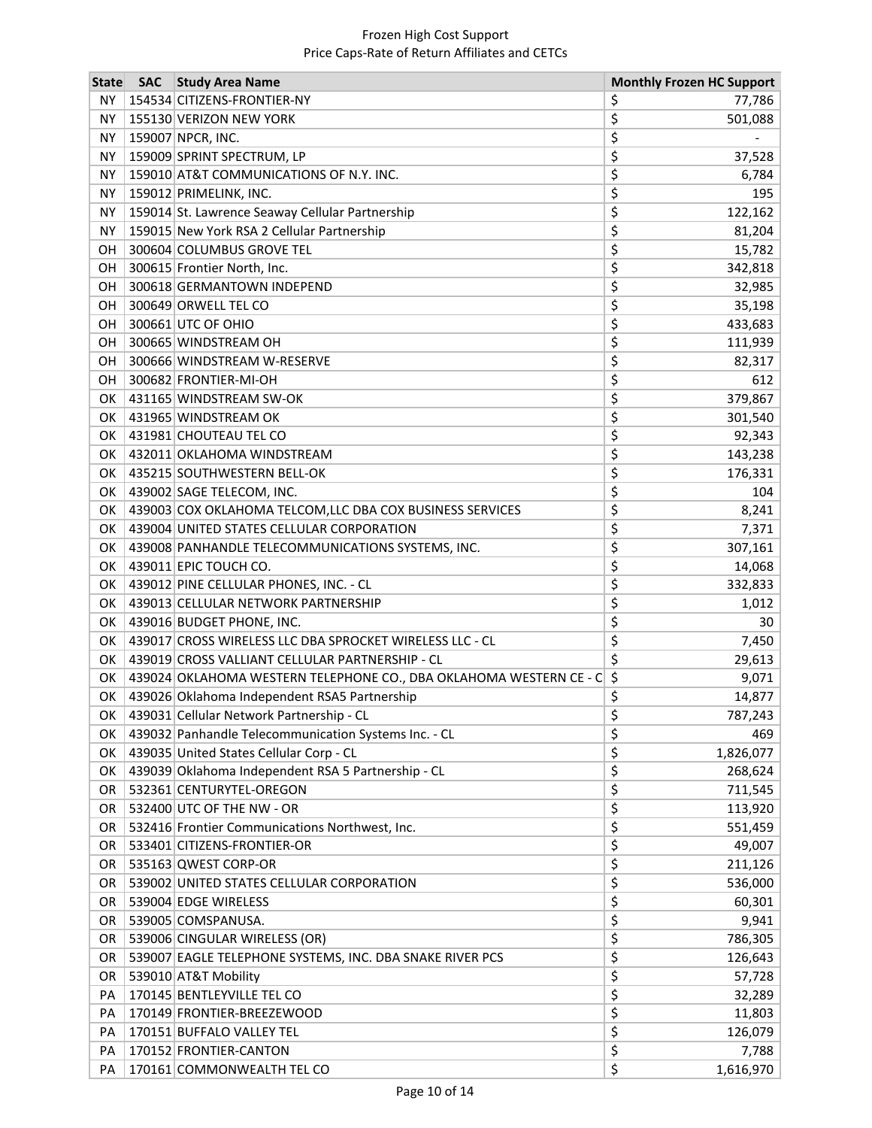| <b>State</b> | <b>SAC</b> | <b>Study Area Name</b>                                             | <b>Monthly Frozen HC Support</b> |
|--------------|------------|--------------------------------------------------------------------|----------------------------------|
| <b>NY</b>    |            | 154534 CITIZENS-FRONTIER-NY                                        | \$<br>77,786                     |
| <b>NY</b>    |            | 155130 VERIZON NEW YORK                                            | \$<br>501,088                    |
| <b>NY</b>    |            | 159007 NPCR, INC.                                                  | \$                               |
| <b>NY</b>    |            | 159009 SPRINT SPECTRUM, LP                                         | \$<br>37,528                     |
| ΝY           |            | 159010 AT&T COMMUNICATIONS OF N.Y. INC.                            | \$<br>6,784                      |
| <b>NY</b>    |            | 159012 PRIMELINK, INC.                                             | \$<br>195                        |
| <b>NY</b>    |            | 159014 St. Lawrence Seaway Cellular Partnership                    | \$<br>122,162                    |
| <b>NY</b>    |            | 159015 New York RSA 2 Cellular Partnership                         | \$<br>81,204                     |
| OH           |            | 300604 COLUMBUS GROVE TEL                                          | \$<br>15,782                     |
| ОH           |            | 300615 Frontier North, Inc.                                        | \$<br>342,818                    |
| OН           |            | 300618 GERMANTOWN INDEPEND                                         | \$<br>32,985                     |
| OН           |            | 300649 ORWELL TEL CO                                               | \$<br>35,198                     |
| OН           |            | 300661 UTC OF OHIO                                                 | \$<br>433,683                    |
| OН           |            | 300665 WINDSTREAM OH                                               | \$<br>111,939                    |
| OH           |            | 300666 WINDSTREAM W-RESERVE                                        | \$<br>82,317                     |
| OН           |            | 300682 FRONTIER-MI-OH                                              | \$<br>612                        |
| OK           |            | 431165 WINDSTREAM SW-OK                                            | \$<br>379,867                    |
| OK           |            | 431965 WINDSTREAM OK                                               | \$<br>301,540                    |
| OK           |            | 431981 CHOUTEAU TEL CO                                             | \$<br>92,343                     |
| OK           |            | 432011 OKLAHOMA WINDSTREAM                                         | \$<br>143,238                    |
| OK           |            | 435215 SOUTHWESTERN BELL-OK                                        | \$<br>176,331                    |
| ОΚ           |            | 439002 SAGE TELECOM, INC.                                          | \$<br>104                        |
| OK           |            | 439003 COX OKLAHOMA TELCOM, LLC DBA COX BUSINESS SERVICES          | \$<br>8,241                      |
| OK           |            | 439004 UNITED STATES CELLULAR CORPORATION                          | \$<br>7,371                      |
| OK           |            | 439008 PANHANDLE TELECOMMUNICATIONS SYSTEMS, INC.                  | \$<br>307,161                    |
| OK           |            | 439011 EPIC TOUCH CO.                                              | \$<br>14,068                     |
| OK           |            | 439012 PINE CELLULAR PHONES, INC. - CL                             | \$<br>332,833                    |
| OK           |            | 439013 CELLULAR NETWORK PARTNERSHIP                                | \$<br>1,012                      |
| OK           |            | 439016 BUDGET PHONE, INC.                                          | \$<br>30                         |
| OK           |            | 439017 CROSS WIRELESS LLC DBA SPROCKET WIRELESS LLC - CL           | \$<br>7,450                      |
| OK           |            | 439019 CROSS VALLIANT CELLULAR PARTNERSHIP - CL                    | \$<br>29,613                     |
| OK           |            | 439024 OKLAHOMA WESTERN TELEPHONE CO., DBA OKLAHOMA WESTERN CE - C | \$<br>9,071                      |
| ОΚ           |            | 439026 Oklahoma Independent RSA5 Partnership                       | \$<br>14,877                     |
|              |            | OK   439031 Cellular Network Partnership - CL                      | \$<br>787,243                    |
| OK           |            | 439032 Panhandle Telecommunication Systems Inc. - CL               | \$<br>469                        |
| OK           |            | 439035 United States Cellular Corp - CL                            | \$<br>1,826,077                  |
| OK           |            | 439039 Oklahoma Independent RSA 5 Partnership - CL                 | \$<br>268,624                    |
| OR           |            | 532361 CENTURYTEL-OREGON                                           | \$<br>711,545                    |
| OR.          |            | 532400 UTC OF THE NW - OR                                          | \$<br>113,920                    |
| <b>OR</b>    |            | 532416 Frontier Communications Northwest, Inc.                     | \$<br>551,459                    |
| <b>OR</b>    |            | 533401 CITIZENS-FRONTIER-OR                                        | \$<br>49,007                     |
| OR           |            | 535163 QWEST CORP-OR                                               | \$<br>211,126                    |
| <b>OR</b>    |            | 539002 UNITED STATES CELLULAR CORPORATION                          | \$<br>536,000                    |
| OR.          |            | 539004 EDGE WIRELESS                                               | \$<br>60,301                     |
| <b>OR</b>    |            | 539005 COMSPANUSA.                                                 | \$<br>9,941                      |
| OR           |            | 539006 CINGULAR WIRELESS (OR)                                      | \$<br>786,305                    |
| OR           |            | 539007 EAGLE TELEPHONE SYSTEMS, INC. DBA SNAKE RIVER PCS           | \$<br>126,643                    |
| OR           |            | 539010 AT&T Mobility                                               | \$<br>57,728                     |
| PA           |            | 170145 BENTLEYVILLE TEL CO                                         | \$<br>32,289                     |
| PA           |            | 170149 FRONTIER-BREEZEWOOD                                         | \$<br>11,803                     |
| PA           |            | 170151 BUFFALO VALLEY TEL                                          | \$<br>126,079                    |
| PA           |            | 170152 FRONTIER-CANTON                                             | \$<br>7,788                      |
| PA           |            | 170161 COMMONWEALTH TEL CO                                         | \$<br>1,616,970                  |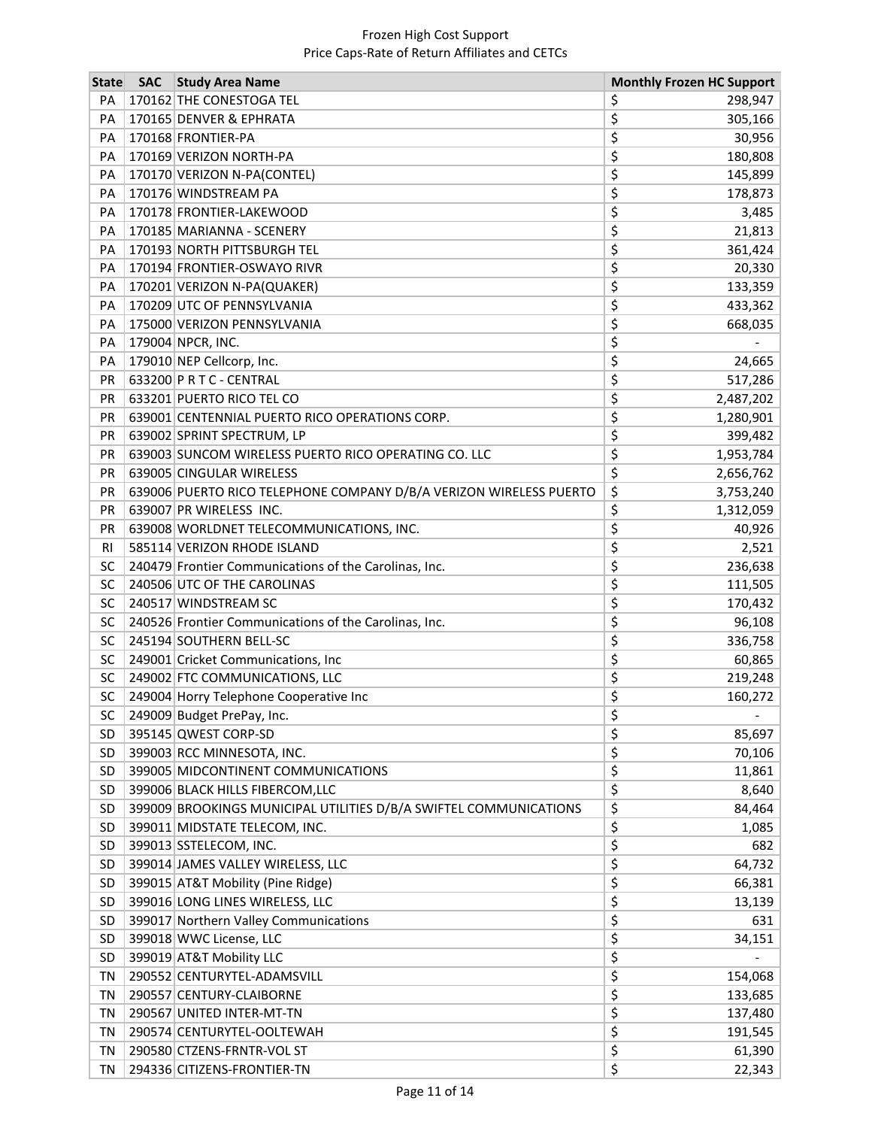| <b>State</b> | <b>SAC</b> | <b>Study Area Name</b>                                             | <b>Monthly Frozen HC Support</b> |
|--------------|------------|--------------------------------------------------------------------|----------------------------------|
| PA           |            | 170162 THE CONESTOGA TEL                                           | \$<br>298,947                    |
| PA           |            | 170165 DENVER & EPHRATA                                            | \$<br>305,166                    |
| PA           |            | 170168 FRONTIER-PA                                                 | \$<br>30,956                     |
| PA           |            | 170169 VERIZON NORTH-PA                                            | \$<br>180,808                    |
| PA           |            | 170170 VERIZON N-PA(CONTEL)                                        | \$<br>145,899                    |
| PA           |            | 170176 WINDSTREAM PA                                               | \$<br>178,873                    |
| PA           |            | 170178 FRONTIER-LAKEWOOD                                           | \$<br>3,485                      |
| PA           |            | 170185 MARIANNA - SCENERY                                          | \$<br>21,813                     |
| PA           |            | 170193 NORTH PITTSBURGH TEL                                        | \$<br>361,424                    |
| PA           |            | 170194 FRONTIER-OSWAYO RIVR                                        | \$<br>20,330                     |
| PA           |            | 170201 VERIZON N-PA(QUAKER)                                        | \$<br>133,359                    |
| PA           |            | 170209 UTC OF PENNSYLVANIA                                         | \$<br>433,362                    |
| PA           |            | 175000 VERIZON PENNSYLVANIA                                        | \$<br>668,035                    |
| PA           |            | 179004 NPCR, INC.                                                  | \$                               |
| PA           |            | 179010 NEP Cellcorp, Inc.                                          | \$<br>24,665                     |
| <b>PR</b>    |            | 633200 P R T C - CENTRAL                                           | \$<br>517,286                    |
| <b>PR</b>    |            | 633201 PUERTO RICO TEL CO                                          | \$<br>2,487,202                  |
| <b>PR</b>    |            | 639001 CENTENNIAL PUERTO RICO OPERATIONS CORP.                     | \$<br>1,280,901                  |
| PR           |            | 639002 SPRINT SPECTRUM, LP                                         | \$<br>399,482                    |
| PR           |            | 639003 SUNCOM WIRELESS PUERTO RICO OPERATING CO. LLC               | \$<br>1,953,784                  |
| <b>PR</b>    |            | 639005 CINGULAR WIRELESS                                           | \$<br>2,656,762                  |
| <b>PR</b>    |            | 639006 PUERTO RICO TELEPHONE COMPANY D/B/A VERIZON WIRELESS PUERTO | \$<br>3,753,240                  |
| PR           |            | 639007 PR WIRELESS INC.                                            | \$<br>1,312,059                  |
| <b>PR</b>    |            | 639008 WORLDNET TELECOMMUNICATIONS, INC.                           | \$<br>40,926                     |
| <b>RI</b>    |            | 585114 VERIZON RHODE ISLAND                                        | \$<br>2,521                      |
| SC           |            | 240479 Frontier Communications of the Carolinas, Inc.              | \$<br>236,638                    |
| SC           |            | 240506 UTC OF THE CAROLINAS                                        | \$<br>111,505                    |
| SC           |            | 240517 WINDSTREAM SC                                               | \$<br>170,432                    |
| SC           |            | 240526 Frontier Communications of the Carolinas, Inc.              | \$<br>96,108                     |
| SC           |            | 245194 SOUTHERN BELL-SC                                            | \$<br>336,758                    |
| SC           |            | 249001 Cricket Communications, Inc                                 | \$<br>60,865                     |
| SC           |            | 249002 FTC COMMUNICATIONS, LLC                                     | \$<br>219,248                    |
| SC           |            | 249004 Horry Telephone Cooperative Inc                             | \$<br>160,272                    |
| SC           |            | 249009 Budget PrePay, Inc.                                         | \$                               |
| <b>SD</b>    |            | 395145 QWEST CORP-SD                                               | \$<br>85,697                     |
| SD           |            | 399003 RCC MINNESOTA, INC.                                         | \$<br>70,106                     |
| SD           |            | 399005 MIDCONTINENT COMMUNICATIONS                                 | \$<br>11,861                     |
| <b>SD</b>    |            | 399006 BLACK HILLS FIBERCOM, LLC                                   | \$<br>8,640                      |
| <b>SD</b>    |            | 399009 BROOKINGS MUNICIPAL UTILITIES D/B/A SWIFTEL COMMUNICATIONS  | \$<br>84,464                     |
| <b>SD</b>    |            | 399011 MIDSTATE TELECOM, INC.                                      | \$<br>1,085                      |
| <b>SD</b>    |            | 399013 SSTELECOM, INC.                                             | \$<br>682                        |
| SD           |            | 399014 JAMES VALLEY WIRELESS, LLC                                  | \$<br>64,732                     |
| <b>SD</b>    |            | 399015 AT&T Mobility (Pine Ridge)                                  | \$<br>66,381                     |
| <b>SD</b>    |            | 399016 LONG LINES WIRELESS, LLC                                    | \$<br>13,139                     |
| <b>SD</b>    |            | 399017 Northern Valley Communications                              | \$<br>631                        |
| <b>SD</b>    |            | 399018 WWC License, LLC                                            | \$<br>34,151                     |
| SD           |            | 399019 AT&T Mobility LLC                                           | \$                               |
| TN           |            | 290552 CENTURYTEL-ADAMSVILL                                        | \$<br>154,068                    |
| TN           |            | 290557 CENTURY-CLAIBORNE                                           | \$<br>133,685                    |
| TN           |            | 290567 UNITED INTER-MT-TN                                          | \$<br>137,480                    |
| TN           |            | 290574 CENTURYTEL-OOLTEWAH                                         | \$<br>191,545                    |
| TN           |            | 290580 CTZENS-FRNTR-VOL ST                                         | \$<br>61,390                     |
| TN           |            | 294336 CITIZENS-FRONTIER-TN                                        | \$<br>22,343                     |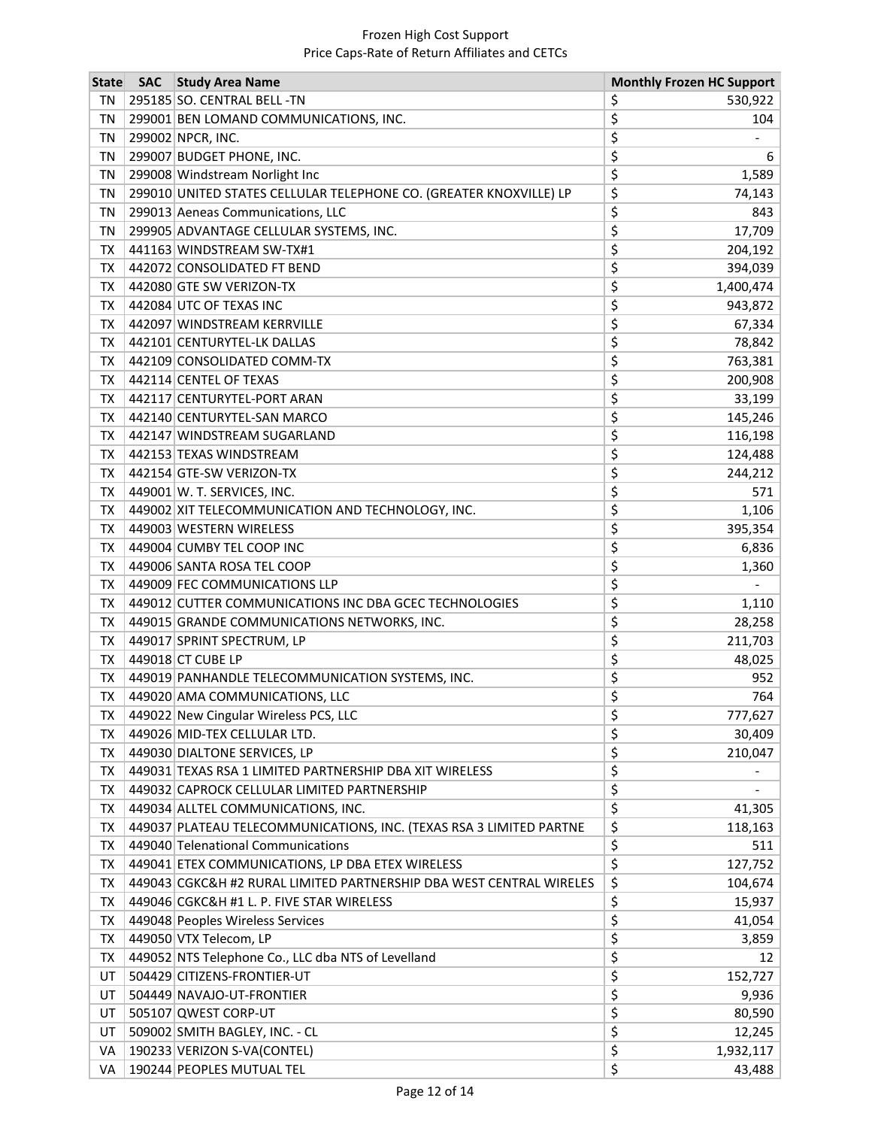| <b>State</b> | <b>SAC</b> Study Area Name                                          | <b>Monthly Frozen HC Support</b> |   |
|--------------|---------------------------------------------------------------------|----------------------------------|---|
| ΤN           | 295185 SO. CENTRAL BELL -TN                                         | \$<br>530,922                    |   |
| TN           | 299001 BEN LOMAND COMMUNICATIONS, INC.                              | \$<br>104                        |   |
| TN           | 299002 NPCR, INC.                                                   | \$                               |   |
| TN           | 299007 BUDGET PHONE, INC.                                           | \$                               | 6 |
| TN           | 299008 Windstream Norlight Inc                                      | \$<br>1,589                      |   |
| TN           | 299010 UNITED STATES CELLULAR TELEPHONE CO. (GREATER KNOXVILLE) LP  | \$<br>74,143                     |   |
| TN           | 299013 Aeneas Communications, LLC                                   | \$<br>843                        |   |
| TN           | 299905 ADVANTAGE CELLULAR SYSTEMS, INC.                             | \$<br>17,709                     |   |
| TX           | 441163 WINDSTREAM SW-TX#1                                           | \$<br>204,192                    |   |
| TX           | 442072 CONSOLIDATED FT BEND                                         | \$<br>394,039                    |   |
| TX           | 442080 GTE SW VERIZON-TX                                            | \$<br>1,400,474                  |   |
| TX           | 442084 UTC OF TEXAS INC                                             | \$<br>943,872                    |   |
| TX           | 442097 WINDSTREAM KERRVILLE                                         | \$<br>67,334                     |   |
| TX           | 442101 CENTURYTEL-LK DALLAS                                         | \$<br>78,842                     |   |
| TX           | 442109 CONSOLIDATED COMM-TX                                         | \$<br>763,381                    |   |
| TX           | 442114 CENTEL OF TEXAS                                              | \$<br>200,908                    |   |
| TX           | 442117 CENTURYTEL-PORT ARAN                                         | \$<br>33,199                     |   |
| TX           | 442140 CENTURYTEL-SAN MARCO                                         | \$<br>145,246                    |   |
| TX           | 442147 WINDSTREAM SUGARLAND                                         | \$<br>116,198                    |   |
| TX           | 442153 TEXAS WINDSTREAM                                             | \$<br>124,488                    |   |
| TX           | 442154 GTE-SW VERIZON-TX                                            | \$<br>244,212                    |   |
| TX           | 449001 W. T. SERVICES, INC.                                         | \$<br>571                        |   |
| TX           | 449002 XIT TELECOMMUNICATION AND TECHNOLOGY, INC.                   | \$<br>1,106                      |   |
| TX           | 449003 WESTERN WIRELESS                                             | \$<br>395,354                    |   |
| TX           | 449004 CUMBY TEL COOP INC                                           | \$<br>6,836                      |   |
| TX           | 449006 SANTA ROSA TEL COOP                                          | \$<br>1,360                      |   |
| TX           | 449009 FEC COMMUNICATIONS LLP                                       | \$                               |   |
| TX           | 449012 CUTTER COMMUNICATIONS INC DBA GCEC TECHNOLOGIES              | \$<br>1,110                      |   |
| TX           | 449015 GRANDE COMMUNICATIONS NETWORKS, INC.                         | \$<br>28,258                     |   |
| TX           | 449017 SPRINT SPECTRUM, LP                                          | \$<br>211,703                    |   |
| <b>TX</b>    | 449018 CT CUBE LP                                                   | \$<br>48,025                     |   |
| <b>TX</b>    | 449019 PANHANDLE TELECOMMUNICATION SYSTEMS, INC.                    | \$<br>952                        |   |
| TX           | 449020 AMA COMMUNICATIONS, LLC                                      | \$<br>764                        |   |
|              | TX 449022 New Cingular Wireless PCS, LLC                            | \$<br>777,627                    |   |
| TX           | 449026 MID-TEX CELLULAR LTD.                                        | \$<br>30,409                     |   |
| TX           | 449030 DIALTONE SERVICES, LP                                        | \$<br>210,047                    |   |
| TX           | 449031 TEXAS RSA 1 LIMITED PARTNERSHIP DBA XIT WIRELESS             | \$                               |   |
| TX           | 449032 CAPROCK CELLULAR LIMITED PARTNERSHIP                         | \$                               |   |
| TX           | 449034 ALLTEL COMMUNICATIONS, INC.                                  | \$<br>41,305                     |   |
| TX           | 449037 PLATEAU TELECOMMUNICATIONS, INC. (TEXAS RSA 3 LIMITED PARTNE | \$<br>118,163                    |   |
| TX           | 449040 Telenational Communications                                  | \$<br>511                        |   |
| TX           | 449041 ETEX COMMUNICATIONS, LP DBA ETEX WIRELESS                    | \$<br>127,752                    |   |
| TX           | 449043 CGKC&H #2 RURAL LIMITED PARTNERSHIP DBA WEST CENTRAL WIRELES | \$<br>104,674                    |   |
| TX           | 449046 CGKC&H #1 L. P. FIVE STAR WIRELESS                           | \$<br>15,937                     |   |
| TX           | 449048 Peoples Wireless Services                                    | \$<br>41,054                     |   |
| TX           | 449050 VTX Telecom, LP                                              | \$<br>3,859                      |   |
| TX           | 449052 NTS Telephone Co., LLC dba NTS of Levelland                  | \$<br>12                         |   |
| UT           | 504429 CITIZENS-FRONTIER-UT                                         | \$<br>152,727                    |   |
| UT           | 504449 NAVAJO-UT-FRONTIER                                           | \$<br>9,936                      |   |
| UT           | 505107 QWEST CORP-UT                                                | \$<br>80,590                     |   |
| UT           | 509002 SMITH BAGLEY, INC. - CL                                      | \$<br>12,245                     |   |
| VA           | 190233 VERIZON S-VA(CONTEL)                                         | \$<br>1,932,117                  |   |
| VA           | 190244 PEOPLES MUTUAL TEL                                           | \$<br>43,488                     |   |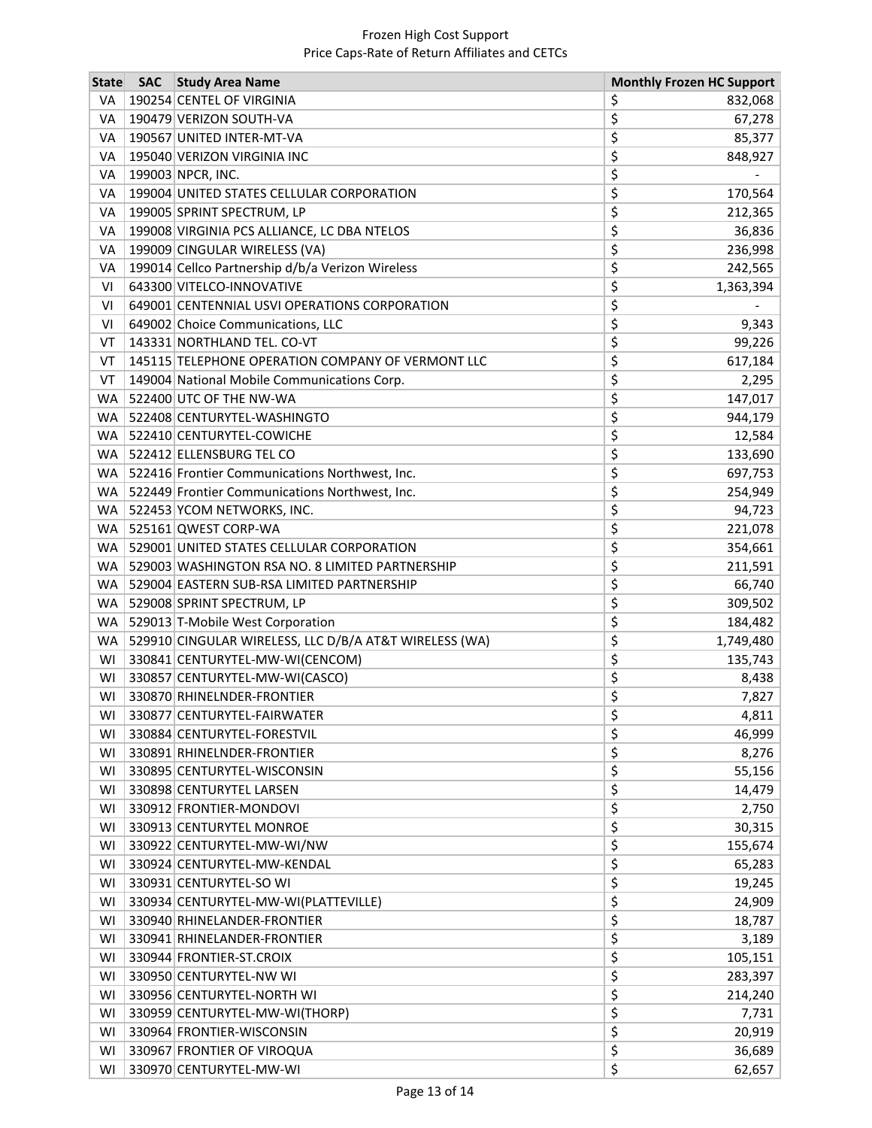| <b>State</b> | <b>SAC</b> | <b>Study Area Name</b>                                 | <b>Monthly Frozen HC Support</b> |           |
|--------------|------------|--------------------------------------------------------|----------------------------------|-----------|
| VA           |            | 190254 CENTEL OF VIRGINIA                              | \$                               | 832,068   |
| VA           |            | 190479 VERIZON SOUTH-VA                                | \$                               | 67,278    |
| VA           |            | 190567 UNITED INTER-MT-VA                              | \$                               | 85,377    |
| VA           |            | 195040 VERIZON VIRGINIA INC                            | \$                               | 848,927   |
| VA           |            | 199003 NPCR, INC.                                      | \$                               |           |
| VA           |            | 199004 UNITED STATES CELLULAR CORPORATION              | \$                               | 170,564   |
| VA           |            | 199005 SPRINT SPECTRUM, LP                             | \$                               | 212,365   |
| VA           |            | 199008 VIRGINIA PCS ALLIANCE, LC DBA NTELOS            | \$                               | 36,836    |
| VA           |            | 199009 CINGULAR WIRELESS (VA)                          | \$                               | 236,998   |
| VA           |            | 199014 Cellco Partnership d/b/a Verizon Wireless       | \$                               | 242,565   |
| VI           |            | 643300 VITELCO-INNOVATIVE                              | \$                               | 1,363,394 |
| VI           |            | 649001 CENTENNIAL USVI OPERATIONS CORPORATION          | \$                               |           |
| VI           |            | 649002 Choice Communications, LLC                      | \$                               | 9,343     |
| VT           |            | 143331 NORTHLAND TEL. CO-VT                            | \$                               | 99,226    |
| VT           |            | 145115 TELEPHONE OPERATION COMPANY OF VERMONT LLC      | \$                               | 617,184   |
| VT           |            | 149004 National Mobile Communications Corp.            | \$                               | 2,295     |
| WA           |            | 522400 UTC OF THE NW-WA                                | \$                               | 147,017   |
| WA           |            | 522408 CENTURYTEL-WASHINGTO                            | \$                               | 944,179   |
| <b>WA</b>    |            | 522410 CENTURYTEL-COWICHE                              | \$                               | 12,584    |
|              |            | WA 522412 ELLENSBURG TEL CO                            | \$                               | 133,690   |
|              |            | WA   522416 Frontier Communications Northwest, Inc.    | \$                               | 697,753   |
|              |            | WA   522449 Frontier Communications Northwest, Inc.    | \$                               | 254,949   |
|              |            | WA   522453 YCOM NETWORKS, INC.                        | \$                               | 94,723    |
| WA           |            | 525161 QWEST CORP-WA                                   | \$                               | 221,078   |
|              |            | WA   529001 UNITED STATES CELLULAR CORPORATION         | \$                               | 354,661   |
| WA           |            | 529003 WASHINGTON RSA NO. 8 LIMITED PARTNERSHIP        | \$                               | 211,591   |
|              |            | WA   529004 EASTERN SUB-RSA LIMITED PARTNERSHIP        | \$                               | 66,740    |
| WA           |            | 529008 SPRINT SPECTRUM, LP                             | \$                               | 309,502   |
| WA           |            | 529013 T-Mobile West Corporation                       | \$                               | 184,482   |
| WA           |            | 529910 CINGULAR WIRELESS, LLC D/B/A AT&T WIRELESS (WA) | \$                               | 1,749,480 |
| WI           |            | 330841 CENTURYTEL-MW-WI(CENCOM)                        | \$                               | 135,743   |
| WI           |            | 330857 CENTURYTEL-MW-WI(CASCO)                         | \$                               | 8,438     |
| WI           |            | 330870 RHINELNDER-FRONTIER                             | \$                               | 7,827     |
| wı           |            | 330877 CENTURYTEL-FAIRWATER                            | Ş                                | 4,811     |
| WI           |            | 330884 CENTURYTEL-FORESTVIL                            | \$                               | 46,999    |
| WI           |            | 330891 RHINELNDER-FRONTIER                             | \$                               | 8,276     |
| WI           |            | 330895 CENTURYTEL-WISCONSIN                            | \$                               | 55,156    |
| WI           |            | 330898 CENTURYTEL LARSEN                               | \$                               | 14,479    |
| WI           |            | 330912 FRONTIER-MONDOVI                                | \$                               | 2,750     |
| WI           |            | 330913 CENTURYTEL MONROE                               | \$                               | 30,315    |
| WI           |            | 330922 CENTURYTEL-MW-WI/NW                             | \$                               | 155,674   |
| WI           |            | 330924 CENTURYTEL-MW-KENDAL                            | \$                               | 65,283    |
| WI           |            | 330931 CENTURYTEL-SO WI                                | \$                               | 19,245    |
| WI           |            | 330934 CENTURYTEL-MW-WI(PLATTEVILLE)                   | \$                               | 24,909    |
| WI           |            | 330940 RHINELANDER-FRONTIER                            | \$                               | 18,787    |
| WI           |            | 330941 RHINELANDER-FRONTIER                            | \$                               | 3,189     |
| WI           |            | 330944 FRONTIER-ST.CROIX                               | \$                               | 105,151   |
| WI           |            | 330950 CENTURYTEL-NW WI                                | \$                               | 283,397   |
| WI           |            | 330956 CENTURYTEL-NORTH WI                             | \$                               | 214,240   |
| WI           |            | 330959 CENTURYTEL-MW-WI(THORP)                         | \$                               | 7,731     |
| WI           |            | 330964 FRONTIER-WISCONSIN                              | \$                               | 20,919    |
| WI           |            | 330967 FRONTIER OF VIROQUA                             | \$                               | 36,689    |
| WI           |            | 330970 CENTURYTEL-MW-WI                                | \$                               | 62,657    |